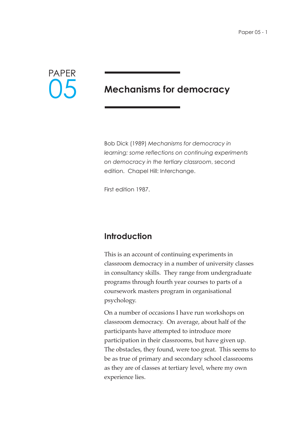

# **Mechanisms for democracy**

Bob Dick (1989) *Mechanisms for democracy in learning: some reflections on continuing experiments on democracy in the tertiary classroom*, second edition. Chapel Hill: Interchange.

First edition 1987.

## **Introduction**

This is an account of continuing experiments in classroom democracy in a number of university classes in consultancy skills. They range from undergraduate programs through fourth year courses to parts of a coursework masters program in organisational psychology.

On a number of occasions I have run workshops on classroom democracy. On average, about half of the participants have attempted to introduce more participation in their classrooms, but have given up. The obstacles, they found, were too great. This seems to be as true of primary and secondary school classrooms as they are of classes at tertiary level, where my own experience lies.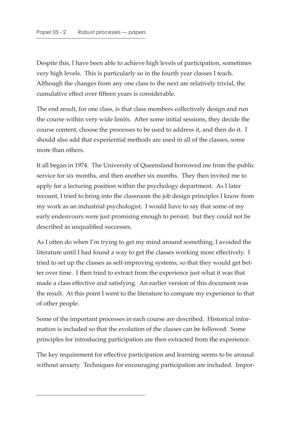Despite this, I have been able to achieve high levels of participation, sometimes very high levels. This is particularly so in the fourth year classes I teach. Although the changes from any one class to the next are relatively trivial, the cumulative effect over fifteen years is considerable.

The end result, for one class, is that class members collectively design and run the course within very wide limits. After some initial sessions, they decide the course content, choose the processes to be used to address it, and then do it. I should also add that experiential methods are used in all of the classes, some more than others.

It all began in 1974. The University of Queensland borrowed me from the public service for six months, and then another six months. They then invited me to apply for a lecturing position within the psychology department. As I later recount, I tried to bring into the classroom the job design principles I know from my work as an industrial psychologist. I would have to say that some of my early endeavours were just promising enough to persist; but they could not be described as unqualified successes.

As I often do when I'm trying to get my mind around something, I avoided the literature until I had found a way to get the classes working more effectively. I tried to set up the classes as self-improving systems, so that they would get better over time. I then tried to extract from the experience just what it was that made a class effective and satisfying. An earlier version of this document was the result. At this point I went to the literature to compare my experience to that of other people.

Some of the important processes in each course are described. Historical information is included so that the evolution of the classes can be followed. Some principles for introducing participation are then extracted from the experience.

The key requirement for effective participation and learning seems to be arousal without anxiety. Techniques for encouraging participation are included. Impor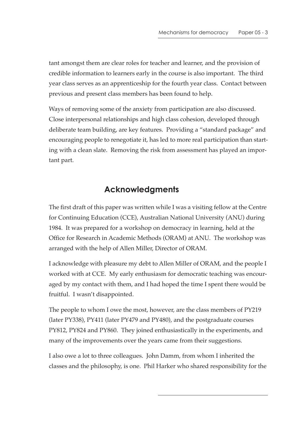tant amongst them are clear roles for teacher and learner, and the provision of credible information to learners early in the course is also important. The third year class serves as an apprenticeship for the fourth year class. Contact between previous and present class members has been found to help.

Ways of removing some of the anxiety from participation are also discussed. Close interpersonal relationships and high class cohesion, developed through deliberate team building, are key features. Providing a "standard package" and encouraging people to renegotiate it, has led to more real participation than starting with a clean slate. Removing the risk from assessment has played an important part.

# **Acknowledgments**

The first draft of this paper was written while I was a visiting fellow at the Centre for Continuing Education (CCE), Australian National University (ANU) during 1984. It was prepared for a workshop on democracy in learning, held at the Office for Research in Academic Methods (ORAM) at ANU. The workshop was arranged with the help of Allen Miller, Director of ORAM.

I acknowledge with pleasure my debt to Allen Miller of ORAM, and the people I worked with at CCE. My early enthusiasm for democratic teaching was encouraged by my contact with them, and I had hoped the time I spent there would be fruitful. I wasn't disappointed.

The people to whom I owe the most, however, are the class members of PY219 (later PY338), PY411 (later PY479 and PY480), and the postgraduate courses PY812, PY824 and PY860. They joined enthusiastically in the experiments, and many of the improvements over the years came from their suggestions.

I also owe a lot to three colleagues. John Damm, from whom I inherited the classes and the philosophy, is one. Phil Harker who shared responsibility for the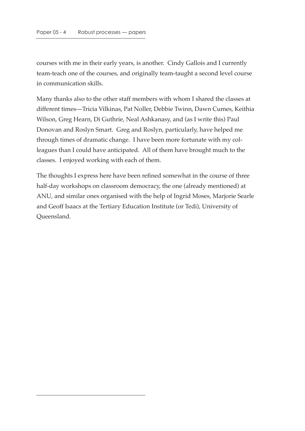courses with me in their early years, is another. Cindy Gallois and I currently team-teach one of the courses, and originally team-taught a second level course in communication skills.

Many thanks also to the other staff members with whom I shared the classes at different times—Tricia Vilkinas, Pat Noller, Debbie Twinn, Dawn Cumes, Keithia Wilson, Greg Hearn, Di Guthrie, Neal Ashkanasy, and (as I write this) Paul Donovan and Roslyn Smart. Greg and Roslyn, particularly, have helped me through times of dramatic change. I have been more fortunate with my colleagues than I could have anticipated. All of them have brought much to the classes. I enjoyed working with each of them.

The thoughts I express here have been refined somewhat in the course of three half-day workshops on classroom democracy, the one (already mentioned) at ANU, and similar ones organised with the help of Ingrid Moses, Marjorie Searle and Geoff Isaacs at the Tertiary Education Institute (or Tedi), University of Queensland.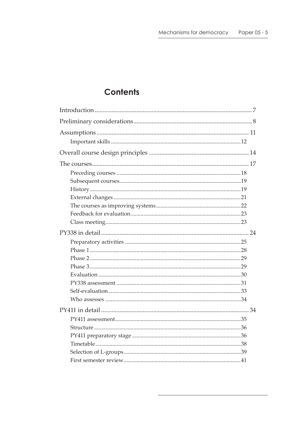# **Contents**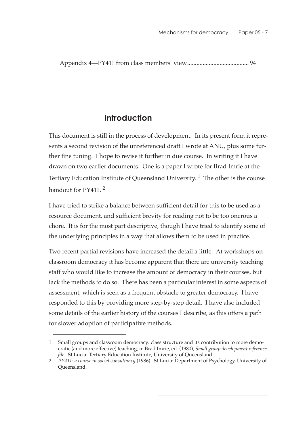Appendix 4—PY411 from class members' view........................................ 94

# **Introduction**

This document is still in the process of development. In its present form it represents a second revision of the unreferenced draft I wrote at ANU, plus some further fine tuning. I hope to revise it further in due course. In writing it I have drawn on two earlier documents. One is a paper I wrote for Brad Imrie at the Tertiary Education Institute of Queensland University.<sup>1</sup> The other is the course handout for PY411.<sup>2</sup>

I have tried to strike a balance between sufficient detail for this to be used as a resource document, and sufficient brevity for reading not to be too onerous a chore. It is for the most part descriptive, though I have tried to identify some of the underlying principles in a way that allows them to be used in practice.

Two recent partial revisions have increased the detail a little. At workshops on classroom democracy it has become apparent that there are university teaching staff who would like to increase the amount of democracy in their courses, but lack the methods to do so. There has been a particular interest in some aspects of assessment, which is seen as a frequent obstacle to greater democracy. I have responded to this by providing more step-by-step detail. I have also included some details of the earlier history of the courses I describe, as this offers a path for slower adoption of participative methods.

<sup>1.</sup> Small groups and classroom democracy: class structure and its contribution to more democratic (and more effective) teaching, in Brad Imrie, ed. (1980), *Small group development reference file*. St Lucia: Tertiary Education Institute, University of Queensland.

<sup>2.</sup> *PY411: a course in social consultancy* (1986). St Lucia: Department of Psychology, University of Queensland.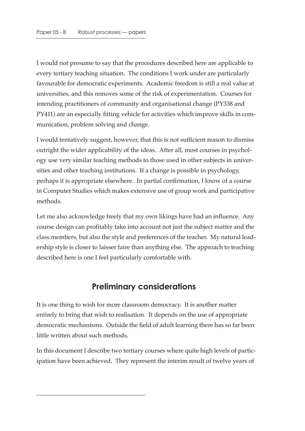I would not presume to say that the procedures described here are applicable to every tertiary teaching situation. The conditions I work under are particularly favourable for democratic experiments. Academic freedom is still a real value at universities, and this removes some of the risk of experimentation. Courses for intending practitioners of community and organisational change (PY338 and PY411) are an especially fitting vehicle for activities which improve skills in communication, problem solving and change.

I would tentatively suggest, however, that this is not sufficient reason to dismiss outright the wider applicability of the ideas. After all, most courses in psychology use very similar teaching methods to those used in other subjects in universities and other teaching institutions. If a change is possible in psychology, perhaps it is appropriate elsewhere. In partial confirmation, I know of a course in Computer Studies which makes extensive use of group work and participative methods.

Let me also acknowledge freely that my own likings have had an influence. Any course design can profitably take into account not just the subject matter and the class members, but also the style and preferences of the teacher. My natural leadership style is closer to laisser faire than anything else. The approach to teaching described here is one I feel particularly comfortable with.

### **Preliminary considerations**

It is one thing to wish for more classroom democracy. It is another matter entirely to bring that wish to realisation. It depends on the use of appropriate democratic mechanisms. Outside the field of adult learning there has so far been little written about such methods.

In this document I describe two tertiary courses where quite high levels of participation have been achieved. They represent the interim result of twelve years of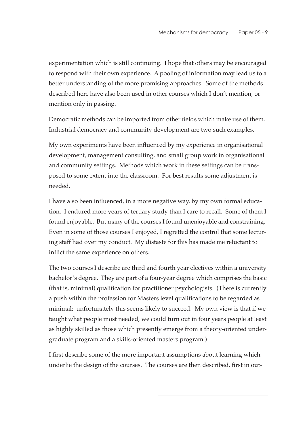experimentation which is still continuing. I hope that others may be encouraged to respond with their own experience. A pooling of information may lead us to a better understanding of the more promising approaches. Some of the methods described here have also been used in other courses which I don't mention, or mention only in passing.

Democratic methods can be imported from other fields which make use of them. Industrial democracy and community development are two such examples.

My own experiments have been influenced by my experience in organisational development, management consulting, and small group work in organisational and community settings. Methods which work in these settings can be transposed to some extent into the classroom. For best results some adjustment is needed.

I have also been influenced, in a more negative way, by my own formal education. I endured more years of tertiary study than I care to recall. Some of them I found enjoyable. But many of the courses I found unenjoyable and constraining. Even in some of those courses I enjoyed, I regretted the control that some lecturing staff had over my conduct. My distaste for this has made me reluctant to inflict the same experience on others.

The two courses I describe are third and fourth year electives within a university bachelor's degree. They are part of a four-year degree which comprises the basic (that is, minimal) qualification for practitioner psychologists. (There is currently a push within the profession for Masters level qualifications to be regarded as minimal; unfortunately this seems likely to succeed. My own view is that if we taught what people most needed, we could turn out in four years people at least as highly skilled as those which presently emerge from a theory-oriented undergraduate program and a skills-oriented masters program.)

I first describe some of the more important assumptions about learning which underlie the design of the courses. The courses are then described, first in out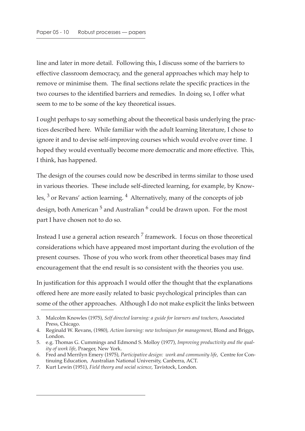line and later in more detail. Following this, I discuss some of the barriers to effective classroom democracy, and the general approaches which may help to remove or minimise them. The final sections relate the specific practices in the two courses to the identified barriers and remedies. In doing so, I offer what seem to me to be some of the key theoretical issues.

I ought perhaps to say something about the theoretical basis underlying the practices described here. While familiar with the adult learning literature, I chose to ignore it and to devise self-improving courses which would evolve over time. I hoped they would eventually become more democratic and more effective. This, I think, has happened.

The design of the courses could now be described in terms similar to those used in various theories. These include self-directed learning, for example, by Knowles, 3 or Revans' action learning. 4 Alternatively, many of the concepts of job design, both American<sup>5</sup> and Australian<sup>6</sup> could be drawn upon. For the most part I have chosen not to do so.

Instead I use a general action research  $<sup>7</sup>$  framework. I focus on those theoretical</sup> considerations which have appeared most important during the evolution of the present courses. Those of you who work from other theoretical bases may find encouragement that the end result is so consistent with the theories you use.

In justification for this approach I would offer the thought that the explanations offered here are more easily related to basic psychological principles than can some of the other approaches. Although I do not make explicit the links between

<sup>3.</sup> Malcolm Knowles (1975), *Self directed learning: a guide for learners and teachers*, Associated Press, Chicago.

<sup>4.</sup> Reginald W. Revans, (1980), *Action learning: new techniques for management*, Blond and Briggs, London.

<sup>5.</sup> e.g. Thomas G. Cummings and Edmond S. Molloy (1977), *Improving productivity and the quality of work life*, Praeger, New York.

<sup>6.</sup> Fred and Merrilyn Emery (1975), *Participative design: work and community life*, Centre for Continuing Education, Australian National University, Canberra, ACT.

<sup>7.</sup> Kurt Lewin (1951), *Field theory and social science*, Tavistock, London.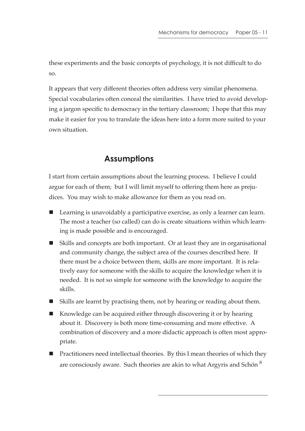these experiments and the basic concepts of psychology, it is not difficult to do so.

It appears that very different theories often address very similar phenomena. Special vocabularies often conceal the similarities. I have tried to avoid developing a jargon specific to democracy in the tertiary classroom; I hope that this may make it easier for you to translate the ideas here into a form more suited to your own situation.

# **Assumptions**

I start from certain assumptions about the learning process. I believe I could argue for each of them; but I will limit myself to offering them here as prejudices. You may wish to make allowance for them as you read on.

- Learning is unavoidably a participative exercise, as only a learner can learn. The most a teacher (so called) can do is create situations within which learning is made possible and is encouraged.
- Skills and concepts are both important. Or at least they are in organisational and community change, the subject area of the courses described here. If there must be a choice between them, skills are more important. It is relatively easy for someone with the skills to acquire the knowledge when it is needed. It is not so simple for someone with the knowledge to acquire the skills.
- Skills are learnt by practising them, not by hearing or reading about them.
- Knowledge can be acquired either through discovering it or by hearing about it. Discovery is both more time-consuming and more effective. A combination of discovery and a more didactic approach is often most appropriate.
- Practitioners need intellectual theories. By this I mean theories of which they are consciously aware. Such theories are akin to what Argyris and Schön  $^8$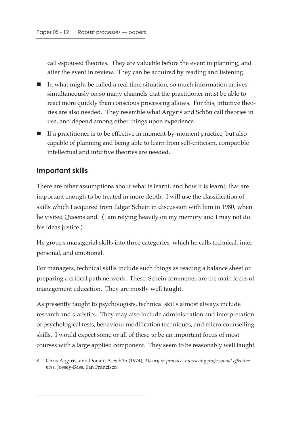call espoused theories. They are valuable before the event in planning, and after the event in review. They can be acquired by reading and listening.

- In what might be called a real time situation, so much information arrives simultaneously on so many channels that the practitioner must be able to react more quickly than conscious processing allows. For this, intuitive theories are also needed. They resemble what Argyris and Schön call theories in use, and depend among other things upon experience.
- $\blacksquare$  If a practitioner is to be effective in moment-by-moment practice, but also capable of planning and being able to learn from self-criticism, compatible intellectual and intuitive theories are needed.

#### **Important skills**

There are other assumptions about what is learnt, and how it is learnt, that are important enough to be treated in more depth. I will use the classification of skills which I acquired from Edgar Schein in discussion with him in 1980, when he visited Queensland. (I am relying heavily on my memory and I may not do his ideas justice.)

He groups managerial skills into three categories, which he calls technical, interpersonal, and emotional.

For managers, technical skills include such things as reading a balance sheet or preparing a critical path network. These, Schein comments, are the main focus of management education. They are mostly well taught.

As presently taught to psychologists, technical skills almost always include research and statistics. They may also include administration and interpretation of psychological tests, behaviour modification techniques, and micro-counselling skills. I would expect some or all of these to be an important focus of most courses with a large applied component. They seem to be reasonably well taught

<sup>8.</sup> Chris Argyris, and Donald A. Schön (1974), *Theory in practice: increasing professional effectiveness*, Jossey-Bass, San Francisco.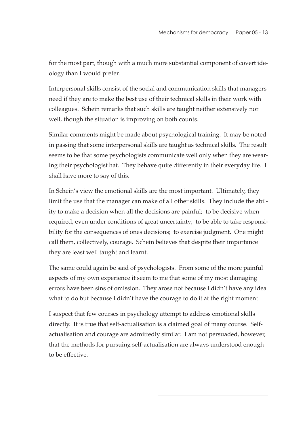for the most part, though with a much more substantial component of covert ideology than I would prefer.

Interpersonal skills consist of the social and communication skills that managers need if they are to make the best use of their technical skills in their work with colleagues. Schein remarks that such skills are taught neither extensively nor well, though the situation is improving on both counts.

Similar comments might be made about psychological training. It may be noted in passing that some interpersonal skills are taught as technical skills. The result seems to be that some psychologists communicate well only when they are wearing their psychologist hat. They behave quite differently in their everyday life. I shall have more to say of this.

In Schein's view the emotional skills are the most important. Ultimately, they limit the use that the manager can make of all other skills. They include the ability to make a decision when all the decisions are painful; to be decisive when required, even under conditions of great uncertainty; to be able to take responsibility for the consequences of ones decisions; to exercise judgment. One might call them, collectively, courage. Schein believes that despite their importance they are least well taught and learnt.

The same could again be said of psychologists. From some of the more painful aspects of my own experience it seem to me that some of my most damaging errors have been sins of omission. They arose not because I didn't have any idea what to do but because I didn't have the courage to do it at the right moment.

I suspect that few courses in psychology attempt to address emotional skills directly. It is true that self-actualisation is a claimed goal of many course. Selfactualisation and courage are admittedly similar. I am not persuaded, however, that the methods for pursuing self-actualisation are always understood enough to be effective.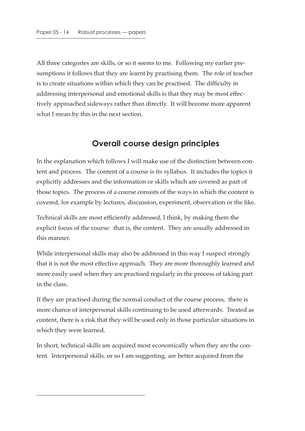All three categories are skills, or so it seems to me. Following my earlier presumptions it follows that they are learnt by practising them. The role of teacher is to create situations within which they can be practised. The difficulty in addressing interpersonal and emotional skills is that they may be most effectively approached sideways rather than directly. It will become more apparent what I mean by this in the next section.

## **Overall course design principles**

In the explanation which follows I will make use of the distinction between content and process. The content of a course is its syllabus. It includes the topics it explicitly addresses and the information or skills which are covered as part of those topics. The process of a course consists of the ways in which the content is covered, for example by lectures, discussion, experiment, observation or the like.

Technical skills are most efficiently addressed, I think, by making them the explicit focus of the course: that is, the content. They are usually addressed in this manner.

While interpersonal skills may also be addressed in this way I suspect strongly that it is not the most effective approach. They are more thoroughly learned and more easily used when they are practised regularly in the process of taking part in the class.

If they are practised during the normal conduct of the course process, there is more chance of interpersonal skills continuing to be used afterwards. Treated as content, there is a risk that they will be used only in those particular situations in which they were learned.

In short, technical skills are acquired most economically when they are the content. Interpersonal skills, or so I am suggesting, are better acquired from the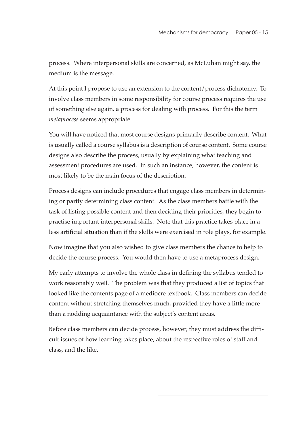process. Where interpersonal skills are concerned, as McLuhan might say, the medium is the message.

At this point I propose to use an extension to the content/process dichotomy. To involve class members in some responsibility for course process requires the use of something else again, a process for dealing with process. For this the term *metaprocess* seems appropriate.

You will have noticed that most course designs primarily describe content. What is usually called a course syllabus is a description of course content. Some course designs also describe the process, usually by explaining what teaching and assessment procedures are used. In such an instance, however, the content is most likely to be the main focus of the description.

Process designs can include procedures that engage class members in determining or partly determining class content. As the class members battle with the task of listing possible content and then deciding their priorities, they begin to practise important interpersonal skills. Note that this practice takes place in a less artificial situation than if the skills were exercised in role plays, for example.

Now imagine that you also wished to give class members the chance to help to decide the course process. You would then have to use a metaprocess design.

My early attempts to involve the whole class in defining the syllabus tended to work reasonably well. The problem was that they produced a list of topics that looked like the contents page of a mediocre textbook. Class members can decide content without stretching themselves much, provided they have a little more than a nodding acquaintance with the subject's content areas.

Before class members can decide process, however, they must address the difficult issues of how learning takes place, about the respective roles of staff and class, and the like.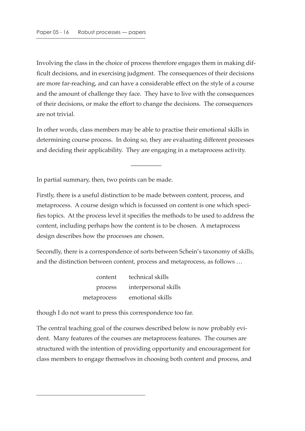Involving the class in the choice of process therefore engages them in making difficult decisions, and in exercising judgment. The consequences of their decisions are more far-reaching, and can have a considerable effect on the style of a course and the amount of challenge they face. They have to live with the consequences of their decisions, or make the effort to change the decisions. The consequences are not trivial.

In other words, class members may be able to practise their emotional skills in determining course process. In doing so, they are evaluating different processes and deciding their applicability. They are engaging in a metaprocess activity.

—————

In partial summary, then, two points can be made.

Firstly, there is a useful distinction to be made between content, process, and metaprocess. A course design which is focussed on content is one which specifies topics. At the process level it specifies the methods to be used to address the content, including perhaps how the content is to be chosen. A metaprocess design describes how the processes are chosen.

Secondly, there is a correspondence of sorts between Schein's taxonomy of skills, and the distinction between content, process and metaprocess, as follows …

| content     | technical skills     |
|-------------|----------------------|
| process     | interpersonal skills |
| metaprocess | emotional skills     |

though I do not want to press this correspondence too far.

The central teaching goal of the courses described below is now probably evident. Many features of the courses are metaprocess features. The courses are structured with the intention of providing opportunity and encouragement for class members to engage themselves in choosing both content and process, and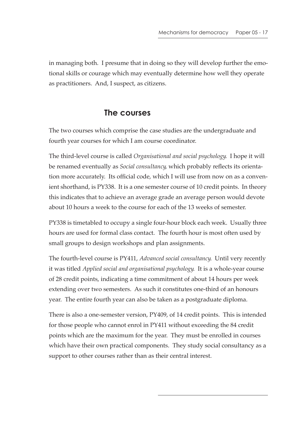in managing both. I presume that in doing so they will develop further the emotional skills or courage which may eventually determine how well they operate as practitioners. And, I suspect, as citizens.

## **The courses**

The two courses which comprise the case studies are the undergraduate and fourth year courses for which I am course coordinator.

The third-level course is called *Organisational and social psychology*. I hope it will be renamed eventually as *Social consultancy*, which probably reflects its orientation more accurately. Its official code, which I will use from now on as a convenient shorthand, is PY338. It is a one semester course of 10 credit points. In theory this indicates that to achieve an average grade an average person would devote about 10 hours a week to the course for each of the 13 weeks of semester.

PY338 is timetabled to occupy a single four-hour block each week. Usually three hours are used for formal class contact. The fourth hour is most often used by small groups to design workshops and plan assignments.

The fourth-level course is PY411, *Advanced social consultancy*. Until very recently it was titled *Applied social and organisational psychology*. It is a whole-year course of 28 credit points, indicating a time commitment of about 14 hours per week extending over two semesters. As such it constitutes one-third of an honours year. The entire fourth year can also be taken as a postgraduate diploma.

There is also a one-semester version, PY409, of 14 credit points. This is intended for those people who cannot enrol in PY411 without exceeding the 84 credit points which are the maximum for the year. They must be enrolled in courses which have their own practical components. They study social consultancy as a support to other courses rather than as their central interest.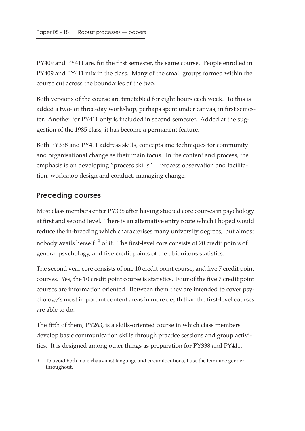PY409 and PY411 are, for the first semester, the same course. People enrolled in PY409 and PY411 mix in the class. Many of the small groups formed within the course cut across the boundaries of the two.

Both versions of the course are timetabled for eight hours each week. To this is added a two- or three-day workshop, perhaps spent under canvas, in first semester. Another for PY411 only is included in second semester. Added at the suggestion of the 1985 class, it has become a permanent feature.

Both PY338 and PY411 address skills, concepts and techniques for community and organisational change as their main focus. In the content and process, the emphasis is on developing "process skills"— process observation and facilitation, workshop design and conduct, managing change.

#### **Preceding courses**

Most class members enter PY338 after having studied core courses in psychology at first and second level. There is an alternative entry route which I hoped would reduce the in-breeding which characterises many university degrees; but almost nobody avails herself<sup>9</sup> of it. The first-level core consists of 20 credit points of general psychology, and five credit points of the ubiquitous statistics.

The second year core consists of one 10 credit point course, and five 7 credit point courses. Yes, the 10 credit point course is statistics. Four of the five 7 credit point courses are information oriented. Between them they are intended to cover psychology's most important content areas in more depth than the first-level courses are able to do.

The fifth of them, PY263, is a skills-oriented course in which class members develop basic communication skills through practice sessions and group activities. It is designed among other things as preparation for PY338 and PY411.

<sup>9.</sup> To avoid both male chauvinist language and circumlocutions, I use the feminine gender throughout.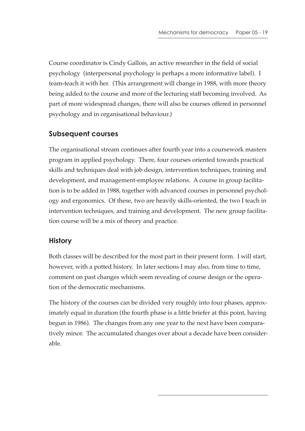Course coordinator is Cindy Gallois, an active researcher in the field of social psychology (interpersonal psychology is perhaps a more informative label). I team-teach it with her. (This arrangement will change in 1988, with more theory being added to the course and more of the lecturing staff becoming involved. As part of more widespread changes, there will also be courses offered in personnel psychology and in organisational behaviour.)

#### **Subsequent courses**

The organisational stream continues after fourth year into a coursework masters program in applied psychology. There, four courses oriented towards practical skills and techniques deal with job design, intervention techniques, training and development, and management-employee relations. A course in group facilitation is to be added in 1988, together with advanced courses in personnel psychology and ergonomics. Of these, two are heavily skills-oriented, the two I teach in intervention techniques, and training and development. The new group facilitation course will be a mix of theory and practice.

#### **History**

Both classes will be described for the most part in their present form. I will start, however, with a potted history. In later sections I may also, from time to time, comment on past changes which seem revealing of course design or the operation of the democratic mechanisms.

The history of the courses can be divided very roughly into four phases, approximately equal in duration (the fourth phase is a little briefer at this point, having begun in 1986). The changes from any one year to the next have been comparatively minor. The accumulated changes over about a decade have been considerable.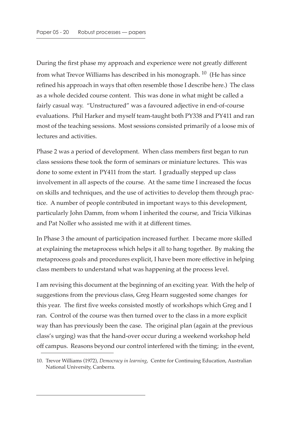During the first phase my approach and experience were not greatly different from what Trevor Williams has described in his monograph.  $10$  (He has since refined his approach in ways that often resemble those I describe here.) The class as a whole decided course content. This was done in what might be called a fairly casual way. "Unstructured" was a favoured adjective in end-of-course evaluations. Phil Harker and myself team-taught both PY338 and PY411 and ran most of the teaching sessions. Most sessions consisted primarily of a loose mix of lectures and activities.

Phase 2 was a period of development. When class members first began to run class sessions these took the form of seminars or miniature lectures. This was done to some extent in PY411 from the start. I gradually stepped up class involvement in all aspects of the course. At the same time I increased the focus on skills and techniques, and the use of activities to develop them through practice. A number of people contributed in important ways to this development, particularly John Damm, from whom I inherited the course, and Tricia Vilkinas and Pat Noller who assisted me with it at different times.

In Phase 3 the amount of participation increased further. I became more skilled at explaining the metaprocess which helps it all to hang together. By making the metaprocess goals and procedures explicit, I have been more effective in helping class members to understand what was happening at the process level.

I am revising this document at the beginning of an exciting year. With the help of suggestions from the previous class, Greg Hearn suggested some changes for this year. The first five weeks consisted mostly of workshops which Greg and I ran. Control of the course was then turned over to the class in a more explicit way than has previously been the case. The original plan (again at the previous class's urging) was that the hand-over occur during a weekend workshop held off campus. Reasons beyond our control interfered with the timing; in the event,

<sup>10.</sup> Trevor Williams (1972), *Democracy in learning*, Centre for Continuing Education, Australian National University, Canberra.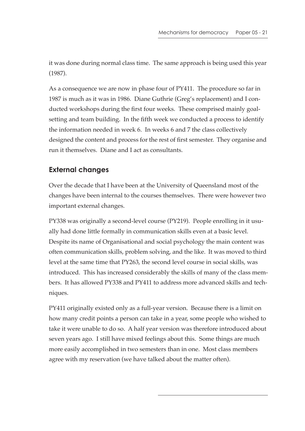it was done during normal class time. The same approach is being used this year (1987).

As a consequence we are now in phase four of PY411. The procedure so far in 1987 is much as it was in 1986. Diane Guthrie (Greg's replacement) and I conducted workshops during the first four weeks. These comprised mainly goalsetting and team building. In the fifth week we conducted a process to identify the information needed in week 6. In weeks 6 and 7 the class collectively designed the content and process for the rest of first semester. They organise and run it themselves. Diane and I act as consultants.

### **External changes**

Over the decade that I have been at the University of Queensland most of the changes have been internal to the courses themselves. There were however two important external changes.

PY338 was originally a second-level course (PY219). People enrolling in it usually had done little formally in communication skills even at a basic level. Despite its name of Organisational and social psychology the main content was often communication skills, problem solving, and the like. It was moved to third level at the same time that PY263, the second level course in social skills, was introduced. This has increased considerably the skills of many of the class members. It has allowed PY338 and PY411 to address more advanced skills and techniques.

PY411 originally existed only as a full-year version. Because there is a limit on how many credit points a person can take in a year, some people who wished to take it were unable to do so. A half year version was therefore introduced about seven years ago. I still have mixed feelings about this. Some things are much more easily accomplished in two semesters than in one. Most class members agree with my reservation (we have talked about the matter often).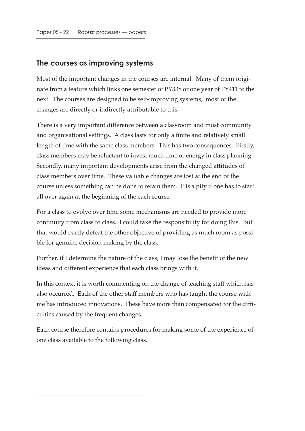#### **The courses as improving systems**

Most of the important changes in the courses are internal. Many of them originate from a feature which links one semester of PY338 or one year of PY411 to the next. The courses are designed to be self-improving systems; most of the changes are directly or indirectly attributable to this.

There is a very important difference between a classroom and most community and organisational settings. A class lasts for only a finite and relatively small length of time with the same class members. This has two consequences. Firstly, class members may be reluctant to invest much time or energy in class planning. Secondly, many important developments arise from the changed attitudes of class members over time. These valuable changes are lost at the end of the course unless something can be done to retain them. It is a pity if one has to start all over again at the beginning of the each course.

For a class to evolve over time some mechanisms are needed to provide more continuity from class to class. I could take the responsibility for doing this. But that would partly defeat the other objective of providing as much room as possible for genuine decision making by the class.

Further, if I determine the nature of the class, I may lose the benefit of the new ideas and different experience that each class brings with it.

In this context it is worth commenting on the change of teaching staff which has also occurred. Each of the other staff members who has taught the course with me has introduced innovations. These have more than compensated for the difficulties caused by the frequent changes.

Each course therefore contains procedures for making some of the experience of one class available to the following class.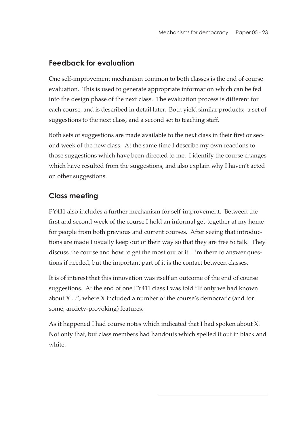### **Feedback for evaluation**

One self-improvement mechanism common to both classes is the end of course evaluation. This is used to generate appropriate information which can be fed into the design phase of the next class. The evaluation process is different for each course, and is described in detail later. Both yield similar products: a set of suggestions to the next class, and a second set to teaching staff.

Both sets of suggestions are made available to the next class in their first or second week of the new class. At the same time I describe my own reactions to those suggestions which have been directed to me. I identify the course changes which have resulted from the suggestions, and also explain why I haven't acted on other suggestions.

### **Class meeting**

PY411 also includes a further mechanism for self-improvement. Between the first and second week of the course I hold an informal get-together at my home for people from both previous and current courses. After seeing that introductions are made I usually keep out of their way so that they are free to talk. They discuss the course and how to get the most out of it. I'm there to answer questions if needed, but the important part of it is the contact between classes.

It is of interest that this innovation was itself an outcome of the end of course suggestions. At the end of one PY411 class I was told "If only we had known about X ...", where X included a number of the course's democratic (and for some, anxiety-provoking) features.

As it happened I had course notes which indicated that I had spoken about X. Not only that, but class members had handouts which spelled it out in black and white.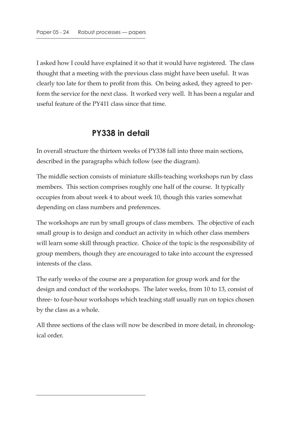I asked how I could have explained it so that it would have registered. The class thought that a meeting with the previous class might have been useful. It was clearly too late for them to profit from this. On being asked, they agreed to perform the service for the next class. It worked very well. It has been a regular and useful feature of the PY411 class since that time.

# **PY338 in detail**

In overall structure the thirteen weeks of PY338 fall into three main sections, described in the paragraphs which follow (see the diagram).

The middle section consists of miniature skills-teaching workshops run by class members. This section comprises roughly one half of the course. It typically occupies from about week 4 to about week 10, though this varies somewhat depending on class numbers and preferences.

The workshops are run by small groups of class members. The objective of each small group is to design and conduct an activity in which other class members will learn some skill through practice. Choice of the topic is the responsibility of group members, though they are encouraged to take into account the expressed interests of the class.

The early weeks of the course are a preparation for group work and for the design and conduct of the workshops. The later weeks, from 10 to 13, consist of three- to four-hour workshops which teaching staff usually run on topics chosen by the class as a whole.

All three sections of the class will now be described in more detail, in chronological order.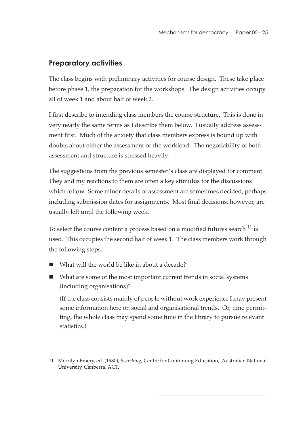### **Preparatory activities**

The class begins with preliminary activities for course design. These take place before phase 1, the preparation for the workshops. The design activities occupy all of week 1 and about half of week 2.

I first describe to intending class members the course structure. This is done in very nearly the same terms as I describe them below. I usually address assessment first. Much of the anxiety that class members express is bound up with doubts about either the assessment or the workload. The negotiability of both assessment and structure is stressed heavily.

The suggestions from the previous semester's class are displayed for comment. They and my reactions to them are often a key stimulus for the discussions which follow. Some minor details of assessment are sometimes decided, perhaps including submission dates for assignments. Most final decisions, however, are usually left until the following week.

To select the course content a process based on a modified futures search <sup>11</sup> is used. This occupies the second half of week 1. The class members work through the following steps.

- What will the world be like in about a decade?
- What are some of the most important current trends in social systems (including organisations)?

(If the class consists mainly of people without work experience I may present some information here on social and organisational trends. Or, time permitting, the whole class may spend some time in the library to pursue relevant statistics.)

<sup>11.</sup> Merrilyn Emery, ed. (1980), *Searching*, Centre for Continuing Education, Australian National University, Canberra, ACT.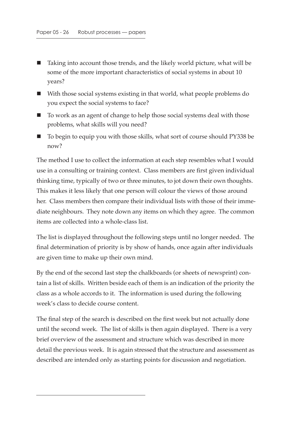- Taking into account those trends, and the likely world picture, what will be some of the more important characteristics of social systems in about 10 years?
- With those social systems existing in that world, what people problems do you expect the social systems to face?
- To work as an agent of change to help those social systems deal with those problems, what skills will you need?
- To begin to equip you with those skills, what sort of course should PY338 be now?

The method I use to collect the information at each step resembles what I would use in a consulting or training context. Class members are first given individual thinking time, typically of two or three minutes, to jot down their own thoughts. This makes it less likely that one person will colour the views of those around her. Class members then compare their individual lists with those of their immediate neighbours. They note down any items on which they agree. The common items are collected into a whole-class list.

The list is displayed throughout the following steps until no longer needed. The final determination of priority is by show of hands, once again after individuals are given time to make up their own mind.

By the end of the second last step the chalkboards (or sheets of newsprint) contain a list of skills. Written beside each of them is an indication of the priority the class as a whole accords to it. The information is used during the following week's class to decide course content.

The final step of the search is described on the first week but not actually done until the second week. The list of skills is then again displayed. There is a very brief overview of the assessment and structure which was described in more detail the previous week. It is again stressed that the structure and assessment as described are intended only as starting points for discussion and negotiation.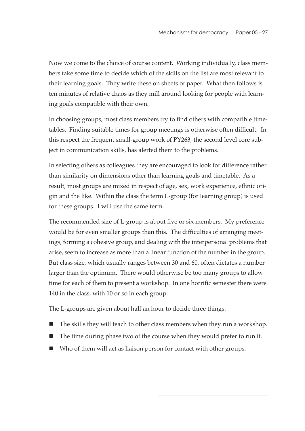Now we come to the choice of course content. Working individually, class members take some time to decide which of the skills on the list are most relevant to their learning goals. They write these on sheets of paper. What then follows is ten minutes of relative chaos as they mill around looking for people with learning goals compatible with their own.

In choosing groups, most class members try to find others with compatible timetables. Finding suitable times for group meetings is otherwise often difficult. In this respect the frequent small-group work of PY263, the second level core subject in communication skills, has alerted them to the problems.

In selecting others as colleagues they are encouraged to look for difference rather than similarity on dimensions other than learning goals and timetable. As a result, most groups are mixed in respect of age, sex, work experience, ethnic origin and the like. Within the class the term L-group (for learning group) is used for these groups. I will use the same term.

The recommended size of L-group is about five or six members. My preference would be for even smaller groups than this. The difficulties of arranging meetings, forming a cohesive group, and dealing with the interpersonal problems that arise, seem to increase as more than a linear function of the number in the group. But class size, which usually ranges between 30 and 60, often dictates a number larger than the optimum. There would otherwise be too many groups to allow time for each of them to present a workshop. In one horrific semester there were 140 in the class, with 10 or so in each group.

The L-groups are given about half an hour to decide three things.

- The skills they will teach to other class members when they run a workshop.
- The time during phase two of the course when they would prefer to run it.
- Who of them will act as liaison person for contact with other groups.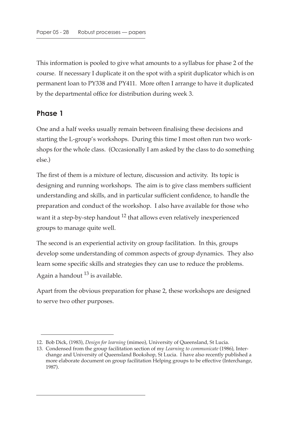This information is pooled to give what amounts to a syllabus for phase 2 of the course. If necessary I duplicate it on the spot with a spirit duplicator which is on permanent loan to PY338 and PY411. More often I arrange to have it duplicated by the departmental office for distribution during week 3.

#### **Phase 1**

One and a half weeks usually remain between finalising these decisions and starting the L-group's workshops. During this time I most often run two workshops for the whole class. (Occasionally I am asked by the class to do something else.)

The first of them is a mixture of lecture, discussion and activity. Its topic is designing and running workshops. The aim is to give class members sufficient understanding and skills, and in particular sufficient confidence, to handle the preparation and conduct of the workshop. I also have available for those who want it a step-by-step handout <sup>12</sup> that allows even relatively inexperienced groups to manage quite well.

The second is an experiential activity on group facilitation. In this, groups develop some understanding of common aspects of group dynamics. They also learn some specific skills and strategies they can use to reduce the problems. Again a handout  $^{13}$  is available.

Apart from the obvious preparation for phase 2, these workshops are designed to serve two other purposes.

<sup>12.</sup> Bob Dick, (1983), *Design for learning* (mimeo), University of Queensland, St Lucia.

<sup>13.</sup> Condensed from the group facilitation section of my *Learning to communicate* (1986), Interchange and University of Queensland Bookshop, St Lucia. I have also recently published a more elaborate document on group facilitation Helping groups to be effective (Interchange, 1987).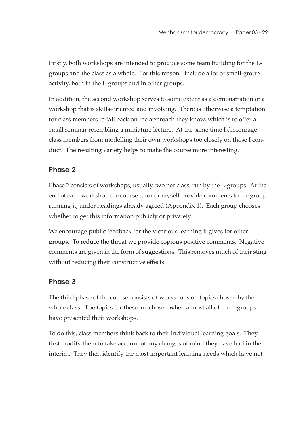Firstly, both workshops are intended to produce some team building for the Lgroups and the class as a whole. For this reason I include a lot of small-group activity, both in the L-groups and in other groups.

In addition, the second workshop serves to some extent as a demonstration of a workshop that is skills-oriented and involving. There is otherwise a temptation for class members to fall back on the approach they know, which is to offer a small seminar resembling a miniature lecture. At the same time I discourage class members from modelling their own workshops too closely on those I conduct. The resulting variety helps to make the course more interesting.

## **Phase 2**

Phase 2 consists of workshops, usually two per class, run by the L-groups. At the end of each workshop the course tutor or myself provide comments to the group running it, under headings already agreed (Appendix 1). Each group chooses whether to get this information publicly or privately.

We encourage public feedback for the vicarious learning it gives for other groups. To reduce the threat we provide copious positive comments. Negative comments are given in the form of suggestions. This removes much of their sting without reducing their constructive effects.

## **Phase 3**

The third phase of the course consists of workshops on topics chosen by the whole class. The topics for these are chosen when almost all of the L-groups have presented their workshops.

To do this, class members think back to their individual learning goals. They first modify them to take account of any changes of mind they have had in the interim. They then identify the most important learning needs which have not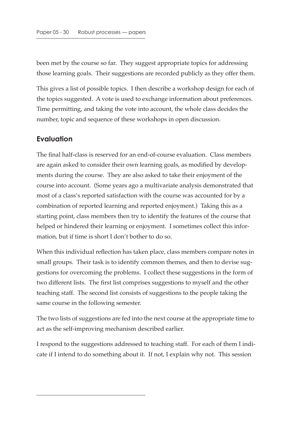been met by the course so far. They suggest appropriate topics for addressing those learning goals. Their suggestions are recorded publicly as they offer them.

This gives a list of possible topics. I then describe a workshop design for each of the topics suggested. A vote is used to exchange information about preferences. Time permitting, and taking the vote into account, the whole class decides the number, topic and sequence of these workshops in open discussion.

#### **Evaluation**

The final half-class is reserved for an end-of-course evaluation. Class members are again asked to consider their own learning goals, as modified by developments during the course. They are also asked to take their enjoyment of the course into account. (Some years ago a multivariate analysis demonstrated that most of a class's reported satisfaction with the course was accounted for by a combination of reported learning and reported enjoyment.) Taking this as a starting point, class members then try to identify the features of the course that helped or hindered their learning or enjoyment. I sometimes collect this information, but if time is short I don't bother to do so.

When this individual reflection has taken place, class members compare notes in small groups. Their task is to identify common themes, and then to devise suggestions for overcoming the problems. I collect these suggestions in the form of two different lists. The first list comprises suggestions to myself and the other teaching staff. The second list consists of suggestions to the people taking the same course in the following semester.

The two lists of suggestions are fed into the next course at the appropriate time to act as the self-improving mechanism described earlier.

I respond to the suggestions addressed to teaching staff. For each of them I indicate if I intend to do something about it. If not, I explain why not. This session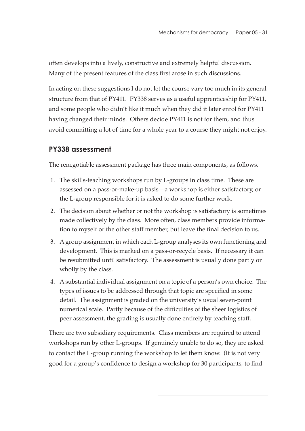often develops into a lively, constructive and extremely helpful discussion. Many of the present features of the class first arose in such discussions.

In acting on these suggestions I do not let the course vary too much in its general structure from that of PY411. PY338 serves as a useful apprenticeship for PY411, and some people who didn't like it much when they did it later enrol for PY411 having changed their minds. Others decide PY411 is not for them, and thus avoid committing a lot of time for a whole year to a course they might not enjoy.

#### **PY338 assessment**

The renegotiable assessment package has three main components, as follows.

- 1. The skills-teaching workshops run by L-groups in class time. These are assessed on a pass-or-make-up basis—a workshop is either satisfactory, or the L-group responsible for it is asked to do some further work.
- 2. The decision about whether or not the workshop is satisfactory is sometimes made collectively by the class. More often, class members provide information to myself or the other staff member, but leave the final decision to us.
- 3. A group assignment in which each L-group analyses its own functioning and development. This is marked on a pass-or-recycle basis. If necessary it can be resubmitted until satisfactory. The assessment is usually done partly or wholly by the class.
- 4. A substantial individual assignment on a topic of a person's own choice. The types of issues to be addressed through that topic are specified in some detail. The assignment is graded on the university's usual seven-point numerical scale. Partly because of the difficulties of the sheer logistics of peer assessment, the grading is usually done entirely by teaching staff.

There are two subsidiary requirements. Class members are required to attend workshops run by other L-groups. If genuinely unable to do so, they are asked to contact the L-group running the workshop to let them know. (It is not very good for a group's confidence to design a workshop for 30 participants, to find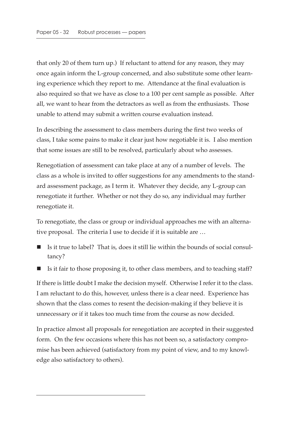that only 20 of them turn up.) If reluctant to attend for any reason, they may once again inform the L-group concerned, and also substitute some other learning experience which they report to me. Attendance at the final evaluation is also required so that we have as close to a 100 per cent sample as possible. After all, we want to hear from the detractors as well as from the enthusiasts. Those unable to attend may submit a written course evaluation instead.

In describing the assessment to class members during the first two weeks of class, I take some pains to make it clear just how negotiable it is. I also mention that some issues are still to be resolved, particularly about who assesses.

Renegotiation of assessment can take place at any of a number of levels. The class as a whole is invited to offer suggestions for any amendments to the standard assessment package, as I term it. Whatever they decide, any L-group can renegotiate it further. Whether or not they do so, any individual may further renegotiate it.

To renegotiate, the class or group or individual approaches me with an alternative proposal. The criteria I use to decide if it is suitable are …

- $\blacksquare$  Is it true to label? That is, does it still lie within the bounds of social consultancy?
- Is it fair to those proposing it, to other class members, and to teaching staff?

If there is little doubt I make the decision myself. Otherwise I refer it to the class. I am reluctant to do this, however, unless there is a clear need. Experience has shown that the class comes to resent the decision-making if they believe it is unnecessary or if it takes too much time from the course as now decided.

In practice almost all proposals for renegotiation are accepted in their suggested form. On the few occasions where this has not been so, a satisfactory compromise has been achieved (satisfactory from my point of view, and to my knowledge also satisfactory to others).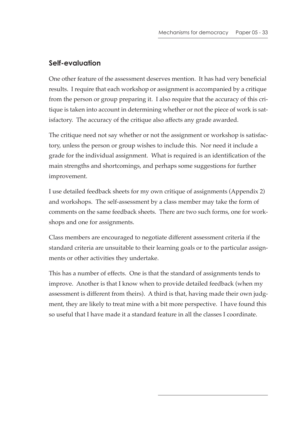#### **Self-evaluation**

One other feature of the assessment deserves mention. It has had very beneficial results. I require that each workshop or assignment is accompanied by a critique from the person or group preparing it. I also require that the accuracy of this critique is taken into account in determining whether or not the piece of work is satisfactory. The accuracy of the critique also affects any grade awarded.

The critique need not say whether or not the assignment or workshop is satisfactory, unless the person or group wishes to include this. Nor need it include a grade for the individual assignment. What is required is an identification of the main strengths and shortcomings, and perhaps some suggestions for further improvement.

I use detailed feedback sheets for my own critique of assignments (Appendix 2) and workshops. The self-assessment by a class member may take the form of comments on the same feedback sheets. There are two such forms, one for workshops and one for assignments.

Class members are encouraged to negotiate different assessment criteria if the standard criteria are unsuitable to their learning goals or to the particular assignments or other activities they undertake.

This has a number of effects. One is that the standard of assignments tends to improve. Another is that I know when to provide detailed feedback (when my assessment is different from theirs). A third is that, having made their own judgment, they are likely to treat mine with a bit more perspective. I have found this so useful that I have made it a standard feature in all the classes I coordinate.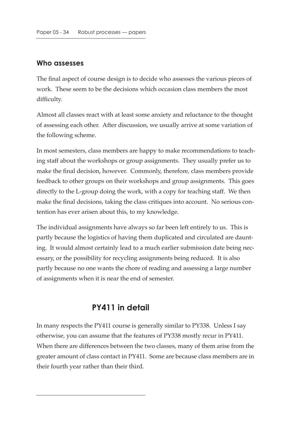#### **Who assesses**

The final aspect of course design is to decide who assesses the various pieces of work. These seem to be the decisions which occasion class members the most difficulty.

Almost all classes react with at least some anxiety and reluctance to the thought of assessing each other. After discussion, we usually arrive at some variation of the following scheme.

In most semesters, class members are happy to make recommendations to teaching staff about the workshops or group assignments. They usually prefer us to make the final decision, however. Commonly, therefore, class members provide feedback to other groups on their workshops and group assignments. This goes directly to the L-group doing the work, with a copy for teaching staff. We then make the final decisions, taking the class critiques into account. No serious contention has ever arisen about this, to my knowledge.

The individual assignments have always so far been left entirely to us. This is partly because the logistics of having them duplicated and circulated are daunting. It would almost certainly lead to a much earlier submission date being necessary, or the possibility for recycling assignments being reduced. It is also partly because no one wants the chore of reading and assessing a large number of assignments when it is near the end of semester.

### **PY411 in detail**

In many respects the PY411 course is generally similar to PY338. Unless I say otherwise, you can assume that the features of PY338 mostly recur in PY411. When there are differences between the two classes, many of them arise from the greater amount of class contact in PY411. Some are because class members are in their fourth year rather than their third.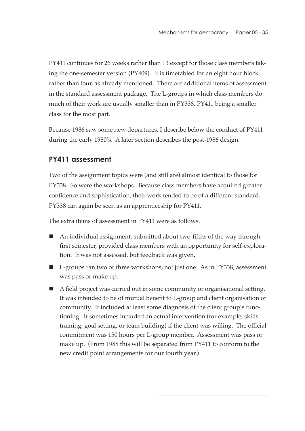PY411 continues for 26 weeks rather than 13 except for those class members taking the one-semester version (PY409). It is timetabled for an eight hour block rather than four, as already mentioned. There are additional items of assessment in the standard assessment package. The L-groups in which class members do much of their work are usually smaller than in PY338, PY411 being a smaller class for the most part.

Because 1986 saw some new departures, I describe below the conduct of PY411 during the early 1980's. A later section describes the post-1986 design.

### **PY411 assessment**

Two of the assignment topics were (and still are) almost identical to those for PY338. So were the workshops. Because class members have acquired greater confidence and sophistication, their work tended to be of a different standard. PY338 can again be seen as an apprenticeship for PY411.

The extra items of assessment in PY411 were as follows.

- An individual assignment, submitted about two-fifths of the way through first semester, provided class members with an opportunity for self-exploration. It was not assessed, but feedback was given.
- L-groups ran two or three workshops, not just one. As in PY338, assessment was pass or make up.
- A field project was carried out in some community or organisational setting. It was intended to be of mutual benefit to L-group and client organisation or community. It included at least some diagnosis of the client group's functioning. It sometimes included an actual intervention (for example, skills training, goal setting, or team building) if the client was willing. The official commitment was 150 hours per L-group member. Assessment was pass or make up. (From 1988 this will be separated from PY411 to conform to the new credit point arrangements for our fourth year.)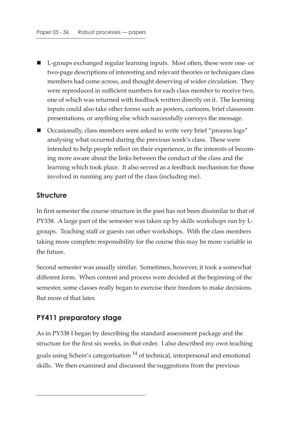- L-groups exchanged regular learning inputs. Most often, these were one- or two-page descriptions of interesting and relevant theories or techniques class members had come across, and thought deserving of wider circulation. They were reproduced in sufficient numbers for each class member to receive two, one of which was returned with feedback written directly on it. The learning inputs could also take other forms such as posters, cartoons, brief classroom presentations, or anything else which successfully conveys the message.
- Occasionally, class members were asked to write very brief "process logs" analysing what occurred during the previous week's class. These were intended to help people reflect on their experience, in the interests of becoming more aware about the links between the conduct of the class and the learning which took place. It also served as a feedback mechanism for those involved in running any part of the class (including me).

#### **Structure**

In first semester the course structure in the past has not been dissimilar to that of PY338. A large part of the semester was taken up by skills workshops run by Lgroups. Teaching staff or guests ran other workshops. With the class members taking more complete responsibility for the course this may be more variable in the future.

Second semester was usually similar. Sometimes, however, it took a somewhat different form. When content and process were decided at the beginning of the semester, some classes really began to exercise their freedom to make decisions. But more of that later.

#### **PY411 preparatory stage**

As in PY338 I began by describing the standard assessment package and the structure for the first six weeks, in that order. I also described my own teaching goals using Schein's categorisation 14 of technical, interpersonal and emotional skills. We then examined and discussed the suggestions from the previous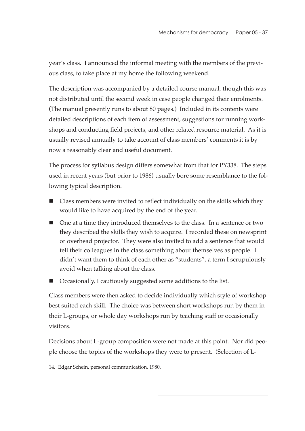year's class. I announced the informal meeting with the members of the previous class, to take place at my home the following weekend.

The description was accompanied by a detailed course manual, though this was not distributed until the second week in case people changed their enrolments. (The manual presently runs to about 80 pages.) Included in its contents were detailed descriptions of each item of assessment, suggestions for running workshops and conducting field projects, and other related resource material. As it is usually revised annually to take account of class members' comments it is by now a reasonably clear and useful document.

The process for syllabus design differs somewhat from that for PY338. The steps used in recent years (but prior to 1986) usually bore some resemblance to the following typical description.

- Class members were invited to reflect individually on the skills which they would like to have acquired by the end of the year.
- One at a time they introduced themselves to the class. In a sentence or two they described the skills they wish to acquire. I recorded these on newsprint or overhead projector. They were also invited to add a sentence that would tell their colleagues in the class something about themselves as people. I didn't want them to think of each other as "students", a term I scrupulously avoid when talking about the class.
- Occasionally, I cautiously suggested some additions to the list.

Class members were then asked to decide individually which style of workshop best suited each skill. The choice was between short workshops run by them in their L-groups, or whole day workshops run by teaching staff or occasionally visitors.

Decisions about L-group composition were not made at this point. Nor did people choose the topics of the workshops they were to present. (Selection of L-

<sup>14.</sup> Edgar Schein, personal communication, 1980.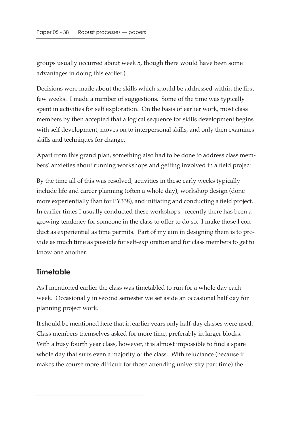groups usually occurred about week 5, though there would have been some advantages in doing this earlier.)

Decisions were made about the skills which should be addressed within the first few weeks. I made a number of suggestions. Some of the time was typically spent in activities for self exploration. On the basis of earlier work, most class members by then accepted that a logical sequence for skills development begins with self development, moves on to interpersonal skills, and only then examines skills and techniques for change.

Apart from this grand plan, something also had to be done to address class members' anxieties about running workshops and getting involved in a field project.

By the time all of this was resolved, activities in these early weeks typically include life and career planning (often a whole day), workshop design (done more experientially than for PY338), and initiating and conducting a field project. In earlier times I usually conducted these workshops; recently there has been a growing tendency for someone in the class to offer to do so. I make those I conduct as experiential as time permits. Part of my aim in designing them is to provide as much time as possible for self-exploration and for class members to get to know one another.

### **Timetable**

As I mentioned earlier the class was timetabled to run for a whole day each week. Occasionally in second semester we set aside an occasional half day for planning project work.

It should be mentioned here that in earlier years only half-day classes were used. Class members themselves asked for more time, preferably in larger blocks. With a busy fourth year class, however, it is almost impossible to find a spare whole day that suits even a majority of the class. With reluctance (because it makes the course more difficult for those attending university part time) the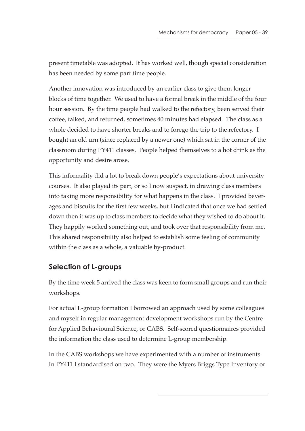present timetable was adopted. It has worked well, though special consideration has been needed by some part time people.

Another innovation was introduced by an earlier class to give them longer blocks of time together. We used to have a formal break in the middle of the four hour session. By the time people had walked to the refectory, been served their coffee, talked, and returned, sometimes 40 minutes had elapsed. The class as a whole decided to have shorter breaks and to forego the trip to the refectory. I bought an old urn (since replaced by a newer one) which sat in the corner of the classroom during PY411 classes. People helped themselves to a hot drink as the opportunity and desire arose.

This informality did a lot to break down people's expectations about university courses. It also played its part, or so I now suspect, in drawing class members into taking more responsibility for what happens in the class. I provided beverages and biscuits for the first few weeks, but I indicated that once we had settled down then it was up to class members to decide what they wished to do about it. They happily worked something out, and took over that responsibility from me. This shared responsibility also helped to establish some feeling of community within the class as a whole, a valuable by-product.

# **Selection of L-groups**

By the time week 5 arrived the class was keen to form small groups and run their workshops.

For actual L-group formation I borrowed an approach used by some colleagues and myself in regular management development workshops run by the Centre for Applied Behavioural Science, or CABS. Self-scored questionnaires provided the information the class used to determine L-group membership.

In the CABS workshops we have experimented with a number of instruments. In PY411 I standardised on two. They were the Myers Briggs Type Inventory or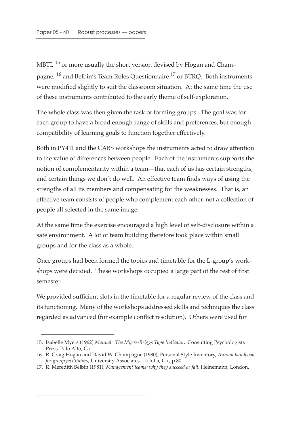MBTI, <sup>15</sup> or more usually the short version devised by Hogan and Champagne, 16 and Belbin's Team Roles Questionnaire 17 or BTRQ. Both instruments were modified slightly to suit the classroom situation. At the same time the use of these instruments contributed to the early theme of self-exploration.

The whole class was then given the task of forming groups. The goal was for each group to have a broad enough range of skills and preferences, but enough compatibility of learning goals to function together effectively.

Both in PY411 and the CABS workshops the instruments acted to draw attention to the value of differences between people. Each of the instruments supports the notion of complementarity within a team—that each of us has certain strengths, and certain things we don't do well. An effective team finds ways of using the strengths of all its members and compensating for the weaknesses. That is, an effective team consists of people who complement each other, not a collection of people all selected in the same image.

At the same time the exercise encouraged a high level of self-disclosure within a safe environment. A lot of team building therefore took place within small groups and for the class as a whole.

Once groups had been formed the topics and timetable for the L-group's workshops were decided. These workshops occupied a large part of the rest of first semester.

We provided sufficient slots in the timetable for a regular review of the class and its functioning. Many of the workshops addressed skills and techniques the class regarded as advanced (for example conflict resolution). Others were used for

<sup>15.</sup> Isabelle Myers (1962) *Manual: The Myers-Briggs Type Indicator*, Consulting Psychologists Press, Palo Alto, Ca.

<sup>16.</sup> R. Craig Hogan and David W. Champagne (1980), Personal Style Inventory, *Annual handbook for group facilitators*, University Associates, La Jolla, Ca., p.80.

<sup>17.</sup> R. Meredith Belbin (1981), *Management teams: why they succeed or fail*, Heinemann, London.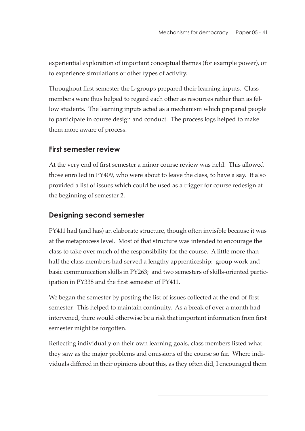experiential exploration of important conceptual themes (for example power), or to experience simulations or other types of activity.

Throughout first semester the L-groups prepared their learning inputs. Class members were thus helped to regard each other as resources rather than as fellow students. The learning inputs acted as a mechanism which prepared people to participate in course design and conduct. The process logs helped to make them more aware of process.

### **First semester review**

At the very end of first semester a minor course review was held. This allowed those enrolled in PY409, who were about to leave the class, to have a say. It also provided a list of issues which could be used as a trigger for course redesign at the beginning of semester 2.

# **Designing second semester**

PY411 had (and has) an elaborate structure, though often invisible because it was at the metaprocess level. Most of that structure was intended to encourage the class to take over much of the responsibility for the course. A little more than half the class members had served a lengthy apprenticeship: group work and basic communication skills in PY263; and two semesters of skills-oriented participation in PY338 and the first semester of PY411.

We began the semester by posting the list of issues collected at the end of first semester. This helped to maintain continuity. As a break of over a month had intervened, there would otherwise be a risk that important information from first semester might be forgotten.

Reflecting individually on their own learning goals, class members listed what they saw as the major problems and omissions of the course so far. Where individuals differed in their opinions about this, as they often did, I encouraged them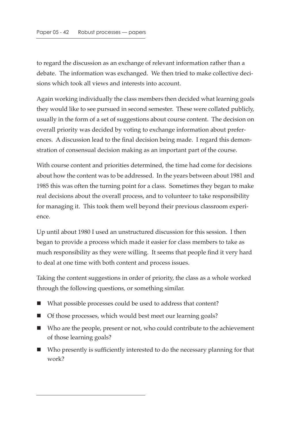to regard the discussion as an exchange of relevant information rather than a debate. The information was exchanged. We then tried to make collective decisions which took all views and interests into account.

Again working individually the class members then decided what learning goals they would like to see pursued in second semester. These were collated publicly, usually in the form of a set of suggestions about course content. The decision on overall priority was decided by voting to exchange information about preferences. A discussion lead to the final decision being made. I regard this demonstration of consensual decision making as an important part of the course.

With course content and priorities determined, the time had come for decisions about how the content was to be addressed. In the years between about 1981 and 1985 this was often the turning point for a class. Sometimes they began to make real decisions about the overall process, and to volunteer to take responsibility for managing it. This took them well beyond their previous classroom experience.

Up until about 1980 I used an unstructured discussion for this session. I then began to provide a process which made it easier for class members to take as much responsibility as they were willing. It seems that people find it very hard to deal at one time with both content and process issues.

Taking the content suggestions in order of priority, the class as a whole worked through the following questions, or something similar.

- What possible processes could be used to address that content?
- Of those processes, which would best meet our learning goals?
- Who are the people, present or not, who could contribute to the achievement of those learning goals?
- $\blacksquare$  Who presently is sufficiently interested to do the necessary planning for that work?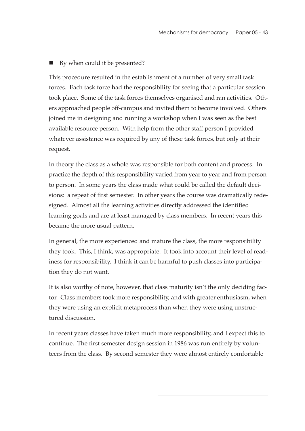■ By when could it be presented?

This procedure resulted in the establishment of a number of very small task forces. Each task force had the responsibility for seeing that a particular session took place. Some of the task forces themselves organised and ran activities. Others approached people off-campus and invited them to become involved. Others joined me in designing and running a workshop when I was seen as the best available resource person. With help from the other staff person I provided whatever assistance was required by any of these task forces, but only at their request.

In theory the class as a whole was responsible for both content and process. In practice the depth of this responsibility varied from year to year and from person to person. In some years the class made what could be called the default decisions: a repeat of first semester. In other years the course was dramatically redesigned. Almost all the learning activities directly addressed the identified learning goals and are at least managed by class members. In recent years this became the more usual pattern.

In general, the more experienced and mature the class, the more responsibility they took. This, I think, was appropriate. It took into account their level of readiness for responsibility. I think it can be harmful to push classes into participation they do not want.

It is also worthy of note, however, that class maturity isn't the only deciding factor. Class members took more responsibility, and with greater enthusiasm, when they were using an explicit metaprocess than when they were using unstructured discussion.

In recent years classes have taken much more responsibility, and I expect this to continue. The first semester design session in 1986 was run entirely by volunteers from the class. By second semester they were almost entirely comfortable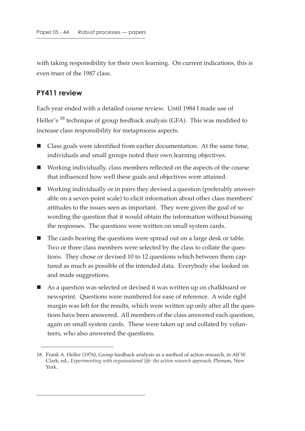with taking responsibility for their own learning. On current indications, this is even truer of the 1987 class.

#### **PY411 review**

Each year ended with a detailed course review. Until 1984 I made use of Heller's <sup>18</sup> technique of group feedback analysis (GFA). This was modified to increase class responsibility for metaprocess aspects.

- Class goals were identified from earlier documentation. At the same time, individuals and small groups noted their own learning objectives.
- Working individually, class members reflected on the aspects of the course that influenced how well these goals and objectives were attained.
- Working individually or in pairs they devised a question (preferably answerable on a seven-point scale) to elicit information about other class members' attitudes to the issues seen as important. They were given the goal of so wording the question that it would obtain the information without biassing the responses. The questions were written on small system cards.
- The cards bearing the questions were spread out on a large desk or table. Two or three class members were selected by the class to collate the questions. They chose or devised 10 to 12 questions which between them captured as much as possible of the intended data. Everybody else looked on and made suggestions.
- As a question was selected or devised it was written up on chalkboard or newsprint. Questions were numbered for ease of reference. A wide right margin was left for the results, which were written up only after all the questions have been answered. All members of the class answered each question, again on small system cards. These were taken up and collated by volunteers, who also answered the questions.

<sup>18.</sup> Frank A. Heller (1976), Group feedback analysis as a method of action research, in Alf W. Clark, ed., *Experimenting with organisational life: the action research approach*, Plenum, New York.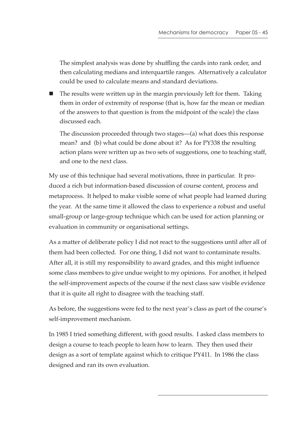The simplest analysis was done by shuffling the cards into rank order, and then calculating medians and interquartile ranges. Alternatively a calculator could be used to calculate means and standard deviations.

 $\blacksquare$  The results were written up in the margin previously left for them. Taking them in order of extremity of response (that is, how far the mean or median of the answers to that question is from the midpoint of the scale) the class discussed each.

The discussion proceeded through two stages—(a) what does this response mean? and (b) what could be done about it? As for PY338 the resulting action plans were written up as two sets of suggestions, one to teaching staff, and one to the next class.

My use of this technique had several motivations, three in particular. It produced a rich but information-based discussion of course content, process and metaprocess. It helped to make visible some of what people had learned during the year. At the same time it allowed the class to experience a robust and useful small-group or large-group technique which can be used for action planning or evaluation in community or organisational settings.

As a matter of deliberate policy I did not react to the suggestions until after all of them had been collected. For one thing, I did not want to contaminate results. After all, it is still my responsibility to award grades, and this might influence some class members to give undue weight to my opinions. For another, it helped the self-improvement aspects of the course if the next class saw visible evidence that it is quite all right to disagree with the teaching staff.

As before, the suggestions were fed to the next year's class as part of the course's self-improvement mechanism.

In 1985 I tried something different, with good results. I asked class members to design a course to teach people to learn how to learn. They then used their design as a sort of template against which to critique PY411. In 1986 the class designed and ran its own evaluation.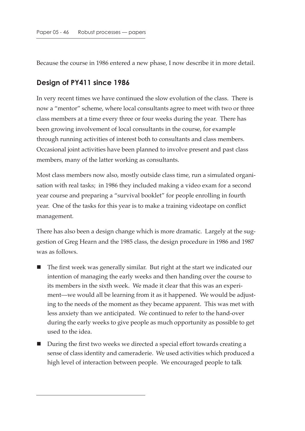Because the course in 1986 entered a new phase, I now describe it in more detail.

#### **Design of PY411 since 1986**

In very recent times we have continued the slow evolution of the class. There is now a "mentor" scheme, where local consultants agree to meet with two or three class members at a time every three or four weeks during the year. There has been growing involvement of local consultants in the course, for example through running activities of interest both to consultants and class members. Occasional joint activities have been planned to involve present and past class members, many of the latter working as consultants.

Most class members now also, mostly outside class time, run a simulated organisation with real tasks; in 1986 they included making a video exam for a second year course and preparing a "survival booklet" for people enrolling in fourth year. One of the tasks for this year is to make a training videotape on conflict management.

There has also been a design change which is more dramatic. Largely at the suggestion of Greg Hearn and the 1985 class, the design procedure in 1986 and 1987 was as follows.

- The first week was generally similar. But right at the start we indicated our intention of managing the early weeks and then handing over the course to its members in the sixth week. We made it clear that this was an experiment—we would all be learning from it as it happened. We would be adjusting to the needs of the moment as they became apparent. This was met with less anxiety than we anticipated. We continued to refer to the hand-over during the early weeks to give people as much opportunity as possible to get used to the idea.
- During the first two weeks we directed a special effort towards creating a sense of class identity and cameraderie. We used activities which produced a high level of interaction between people. We encouraged people to talk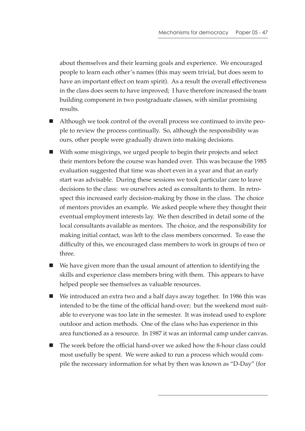about themselves and their learning goals and experience. We encouraged people to learn each other's names (this may seem trivial, but does seem to have an important effect on team spirit). As a result the overall effectiveness in the class does seem to have improved; I have therefore increased the team building component in two postgraduate classes, with similar promising results.

- Although we took control of the overall process we continued to invite people to review the process continually. So, although the responsibility was ours, other people were gradually drawn into making decisions.
- With some misgivings, we urged people to begin their projects and select their mentors before the course was handed over. This was because the 1985 evaluation suggested that time was short even in a year and that an early start was advisable. During these sessions we took particular care to leave decisions to the class: we ourselves acted as consultants to them. In retrospect this increased early decision-making by those in the class. The choice of mentors provides an example. We asked people where they thought their eventual employment interests lay. We then described in detail some of the local consultants available as mentors. The choice, and the responsibility for making initial contact, was left to the class members concerned. To ease the difficulty of this, we encouraged class members to work in groups of two or three.
- We have given more than the usual amount of attention to identifying the skills and experience class members bring with them. This appears to have helped people see themselves as valuable resources.
- We introduced an extra two and a half days away together. In 1986 this was intended to be the time of the official hand-over; but the weekend most suitable to everyone was too late in the semester. It was instead used to explore outdoor and action methods. One of the class who has experience in this area functioned as a resource. In 1987 it was an informal camp under canvas.
- The week before the official hand-over we asked how the 8-hour class could most usefully be spent. We were asked to run a process which would compile the necessary information for what by then was known as "D-Day" (for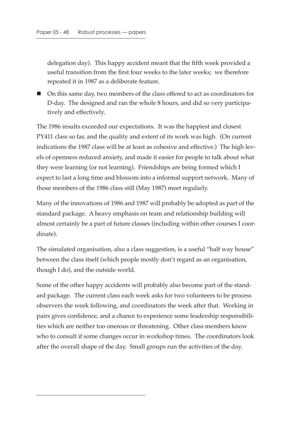delegation day). This happy accident meant that the fifth week provided a useful transition from the first four weeks to the later weeks; we therefore repeated it in 1987 as a deliberate feature.

 On this same day, two members of the class offered to act as coordinators for D-day. The designed and ran the whole 8 hours, and did so very participatively and effectively.

The 1986 results exceeded our expectations. It was the happiest and closest PY411 class so far, and the quality and extent of its work was high. (On current indications the 1987 class will be at least as cohesive and effective.) The high levels of openness reduced anxiety, and made it easier for people to talk about what they were learning (or not learning). Friendships are being formed which I expect to last a long time and blossom into a informal support network. Many of those members of the 1986 class still (May 1987) meet regularly.

Many of the innovations of 1986 and 1987 will probably be adopted as part of the standard package. A heavy emphasis on team and relationship building will almost certainly be a part of future classes (including within other courses I coordinate).

The simulated organisation, also a class suggestion, is a useful "half way house" between the class itself (which people mostly don't regard as an organisation, though I do), and the outside world.

Some of the other happy accidents will probably also become part of the standard package. The current class each week asks for two volunteers to be process observers the week following, and coordinators the week after that. Working in pairs gives confidence, and a chance to experience some leadership responsibilities which are neither too onerous or threatening. Other class members know who to consult if some changes occur in workshop times. The coordinators look after the overall shape of the day. Small groups run the activities of the day.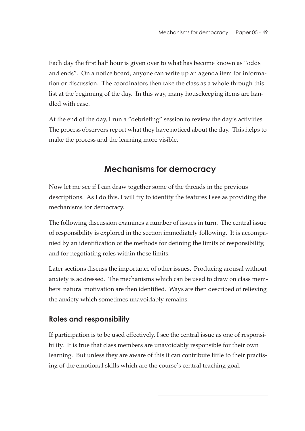Each day the first half hour is given over to what has become known as "odds and ends". On a notice board, anyone can write up an agenda item for information or discussion. The coordinators then take the class as a whole through this list at the beginning of the day. In this way, many housekeeping items are handled with ease.

At the end of the day, I run a "debriefing" session to review the day's activities. The process observers report what they have noticed about the day. This helps to make the process and the learning more visible.

# **Mechanisms for democracy**

Now let me see if I can draw together some of the threads in the previous descriptions. As I do this, I will try to identify the features I see as providing the mechanisms for democracy.

The following discussion examines a number of issues in turn. The central issue of responsibility is explored in the section immediately following. It is accompanied by an identification of the methods for defining the limits of responsibility, and for negotiating roles within those limits.

Later sections discuss the importance of other issues. Producing arousal without anxiety is addressed. The mechanisms which can be used to draw on class members' natural motivation are then identified. Ways are then described of relieving the anxiety which sometimes unavoidably remains.

# **Roles and responsibility**

If participation is to be used effectively, I see the central issue as one of responsibility. It is true that class members are unavoidably responsible for their own learning. But unless they are aware of this it can contribute little to their practising of the emotional skills which are the course's central teaching goal.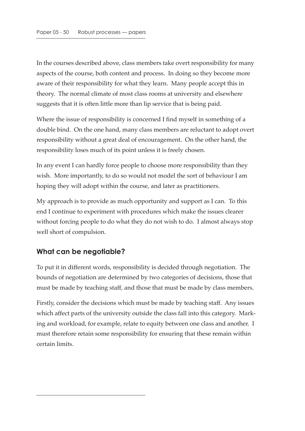In the courses described above, class members take overt responsibility for many aspects of the course, both content and process. In doing so they become more aware of their responsibility for what they learn. Many people accept this in theory. The normal climate of most class rooms at university and elsewhere suggests that it is often little more than lip service that is being paid.

Where the issue of responsibility is concerned I find myself in something of a double bind. On the one hand, many class members are reluctant to adopt overt responsibility without a great deal of encouragement. On the other hand, the responsibility loses much of its point unless it is freely chosen.

In any event I can hardly force people to choose more responsibility than they wish. More importantly, to do so would not model the sort of behaviour I am hoping they will adopt within the course, and later as practitioners.

My approach is to provide as much opportunity and support as I can. To this end I continue to experiment with procedures which make the issues clearer without forcing people to do what they do not wish to do. I almost always stop well short of compulsion.

# **What can be negotiable?**

To put it in different words, responsibility is decided through negotiation. The bounds of negotiation are determined by two categories of decisions, those that must be made by teaching staff, and those that must be made by class members.

Firstly, consider the decisions which must be made by teaching staff. Any issues which affect parts of the university outside the class fall into this category. Marking and workload, for example, relate to equity between one class and another. I must therefore retain some responsibility for ensuring that these remain within certain limits.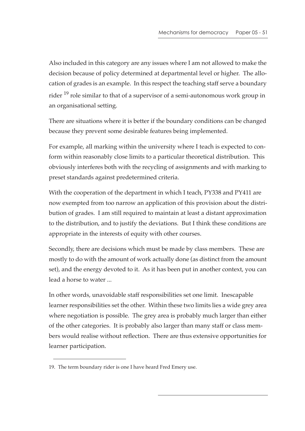Also included in this category are any issues where I am not allowed to make the decision because of policy determined at departmental level or higher. The allocation of grades is an example. In this respect the teaching staff serve a boundary rider <sup>19</sup> role similar to that of a supervisor of a semi-autonomous work group in an organisational setting.

There are situations where it is better if the boundary conditions can be changed because they prevent some desirable features being implemented.

For example, all marking within the university where I teach is expected to conform within reasonably close limits to a particular theoretical distribution. This obviously interferes both with the recycling of assignments and with marking to preset standards against predetermined criteria.

With the cooperation of the department in which I teach, PY338 and PY411 are now exempted from too narrow an application of this provision about the distribution of grades. I am still required to maintain at least a distant approximation to the distribution, and to justify the deviations. But I think these conditions are appropriate in the interests of equity with other courses.

Secondly, there are decisions which must be made by class members. These are mostly to do with the amount of work actually done (as distinct from the amount set), and the energy devoted to it. As it has been put in another context, you can lead a horse to water ...

In other words, unavoidable staff responsibilities set one limit. Inescapable learner responsibilities set the other. Within these two limits lies a wide grey area where negotiation is possible. The grey area is probably much larger than either of the other categories. It is probably also larger than many staff or class members would realise without reflection. There are thus extensive opportunities for learner participation.

<sup>19.</sup> The term boundary rider is one I have heard Fred Emery use.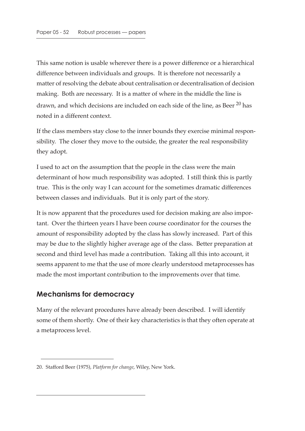This same notion is usable wherever there is a power difference or a hierarchical difference between individuals and groups. It is therefore not necessarily a matter of resolving the debate about centralisation or decentralisation of decision making. Both are necessary. It is a matter of where in the middle the line is drawn, and which decisions are included on each side of the line, as Beer<sup>20</sup> has noted in a different context.

If the class members stay close to the inner bounds they exercise minimal responsibility. The closer they move to the outside, the greater the real responsibility they adopt.

I used to act on the assumption that the people in the class were the main determinant of how much responsibility was adopted. I still think this is partly true. This is the only way I can account for the sometimes dramatic differences between classes and individuals. But it is only part of the story.

It is now apparent that the procedures used for decision making are also important. Over the thirteen years I have been course coordinator for the courses the amount of responsibility adopted by the class has slowly increased. Part of this may be due to the slightly higher average age of the class. Better preparation at second and third level has made a contribution. Taking all this into account, it seems apparent to me that the use of more clearly understood metaprocesses has made the most important contribution to the improvements over that time.

### **Mechanisms for democracy**

Many of the relevant procedures have already been described. I will identify some of them shortly. One of their key characteristics is that they often operate at a metaprocess level.

<sup>20.</sup> Stafford Beer (1975), *Platform for change*, Wiley, New York.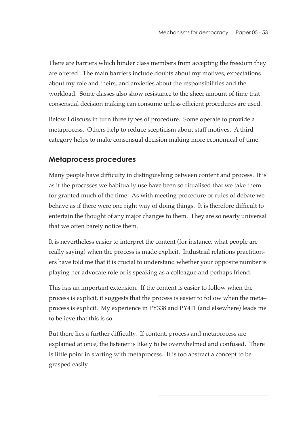There are barriers which hinder class members from accepting the freedom they are offered. The main barriers include doubts about my motives, expectations about my role and theirs, and anxieties about the responsibilities and the workload. Some classes also show resistance to the sheer amount of time that consensual decision making can consume unless efficient procedures are used.

Below I discuss in turn three types of procedure. Some operate to provide a metaprocess. Others help to reduce scepticism about staff motives. A third category helps to make consensual decision making more economical of time.

# **Metaprocess procedures**

Many people have difficulty in distinguishing between content and process. It is as if the processes we habitually use have been so ritualised that we take them for granted much of the time. As with meeting procedure or rules of debate we behave as if there were one right way of doing things. It is therefore difficult to entertain the thought of any major changes to them. They are so nearly universal that we often barely notice them.

It is nevertheless easier to interpret the content (for instance, what people are really saying) when the process is made explicit. Industrial relations practitioners have told me that it is crucial to understand whether your opposite number is playing her advocate role or is speaking as a colleague and perhaps friend.

This has an important extension. If the content is easier to follow when the process is explicit, it suggests that the process is easier to follow when the meta– process is explicit. My experience in PY338 and PY411 (and elsewhere) leads me to believe that this is so.

But there lies a further difficulty. If content, process and metaprocess are explained at once, the listener is likely to be overwhelmed and confused. There is little point in starting with metaprocess. It is too abstract a concept to be grasped easily.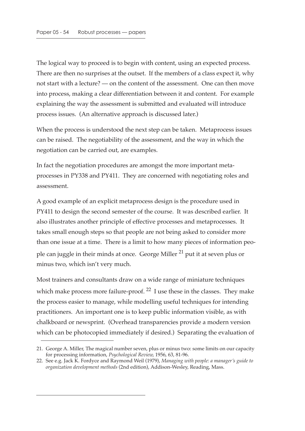The logical way to proceed is to begin with content, using an expected process. There are then no surprises at the outset. If the members of a class expect it, why not start with a lecture? — on the content of the assessment. One can then move into process, making a clear differentiation between it and content. For example explaining the way the assessment is submitted and evaluated will introduce process issues. (An alternative approach is discussed later.)

When the process is understood the next step can be taken. Metaprocess issues can be raised. The negotiability of the assessment, and the way in which the negotiation can be carried out, are examples.

In fact the negotiation procedures are amongst the more important metaprocesses in PY338 and PY411. They are concerned with negotiating roles and assessment.

A good example of an explicit metaprocess design is the procedure used in PY411 to design the second semester of the course. It was described earlier. It also illustrates another principle of effective processes and metaprocesses. It takes small enough steps so that people are not being asked to consider more than one issue at a time. There is a limit to how many pieces of information people can juggle in their minds at once. George Miller  $^{21}$  put it at seven plus or minus two, which isn't very much.

Most trainers and consultants draw on a wide range of miniature techniques which make process more failure-proof.  $22$  I use these in the classes. They make the process easier to manage, while modelling useful techniques for intending practitioners. An important one is to keep public information visible, as with chalkboard or newsprint. (Overhead transparencies provide a modern version which can be photocopied immediately if desired.) Separating the evaluation of

<sup>21.</sup> George A. Miller, The magical number seven, plus or minus two: some limits on our capacity for processing information, *Psychological Review*, 1956, 63, 81-96.

<sup>22.</sup> See e.g. Jack K. Fordyce and Raymond Weil (1979), *Managing with people: a manager's guide to organization development methods* (2nd edition), Addison-Wesley, Reading, Mass.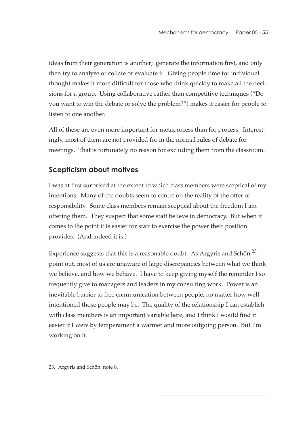ideas from their generation is another; generate the information first, and only then try to analyse or collate or evaluate it. Giving people time for individual thought makes it more difficult for those who think quickly to make all the decisions for a group. Using collaborative rather than competitive techniques ("Do you want to win the debate or solve the problem?") makes it easier for people to listen to one another.

All of these are even more important for metaprocess than for process. Interestingly, most of them are not provided for in the normal rules of debate for meetings. That is fortunately no reason for excluding them from the classroom.

# **Scepticism about motives**

I was at first surprised at the extent to which class members were sceptical of my intentions. Many of the doubts seem to centre on the reality of the offer of responsibility. Some class members remain sceptical about the freedom I am offering them. They suspect that some staff believe in democracy. But when it comes to the point it is easier for staff to exercise the power their position provides. (And indeed it is.)

Experience suggests that this is a reasonable doubt. As Argyris and Schön<sup>23</sup> point out, most of us are unaware of large discrepancies between what we think we believe, and how we behave. I have to keep giving myself the reminder I so frequently give to managers and leaders in my consulting work. Power is an inevitable barrier to free communication between people, no matter how well intentioned those people may be. The quality of the relationship I can establish with class members is an important variable here, and I think I would find it easier if I were by temperament a warmer and more outgoing person. But I'm working on it.

<sup>23.</sup> Argyris and Schön, note 8.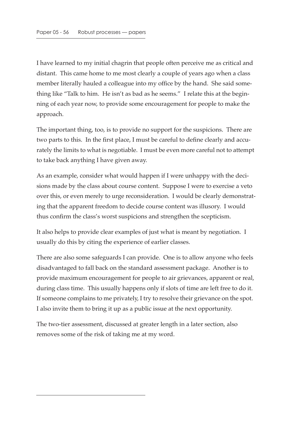I have learned to my initial chagrin that people often perceive me as critical and distant. This came home to me most clearly a couple of years ago when a class member literally hauled a colleague into my office by the hand. She said something like "Talk to him. He isn't as bad as he seems." I relate this at the beginning of each year now, to provide some encouragement for people to make the approach.

The important thing, too, is to provide no support for the suspicions. There are two parts to this. In the first place, I must be careful to define clearly and accurately the limits to what is negotiable. I must be even more careful not to attempt to take back anything I have given away.

As an example, consider what would happen if I were unhappy with the decisions made by the class about course content. Suppose I were to exercise a veto over this, or even merely to urge reconsideration. I would be clearly demonstrating that the apparent freedom to decide course content was illusory. I would thus confirm the class's worst suspicions and strengthen the scepticism.

It also helps to provide clear examples of just what is meant by negotiation. I usually do this by citing the experience of earlier classes.

There are also some safeguards I can provide. One is to allow anyone who feels disadvantaged to fall back on the standard assessment package. Another is to provide maximum encouragement for people to air grievances, apparent or real, during class time. This usually happens only if slots of time are left free to do it. If someone complains to me privately, I try to resolve their grievance on the spot. I also invite them to bring it up as a public issue at the next opportunity.

The two-tier assessment, discussed at greater length in a later section, also removes some of the risk of taking me at my word.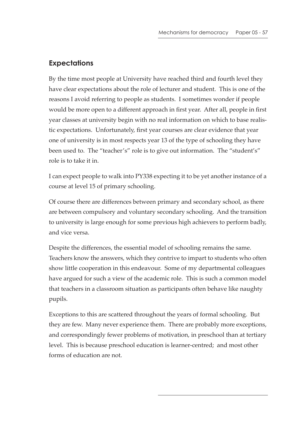### **Expectations**

By the time most people at University have reached third and fourth level they have clear expectations about the role of lecturer and student. This is one of the reasons I avoid referring to people as students. I sometimes wonder if people would be more open to a different approach in first year. After all, people in first year classes at university begin with no real information on which to base realistic expectations. Unfortunately, first year courses are clear evidence that year one of university is in most respects year 13 of the type of schooling they have been used to. The "teacher's" role is to give out information. The "student's" role is to take it in.

I can expect people to walk into PY338 expecting it to be yet another instance of a course at level 15 of primary schooling.

Of course there are differences between primary and secondary school, as there are between compulsory and voluntary secondary schooling. And the transition to university is large enough for some previous high achievers to perform badly, and vice versa.

Despite the differences, the essential model of schooling remains the same. Teachers know the answers, which they contrive to impart to students who often show little cooperation in this endeavour. Some of my departmental colleagues have argued for such a view of the academic role. This is such a common model that teachers in a classroom situation as participants often behave like naughty pupils.

Exceptions to this are scattered throughout the years of formal schooling. But they are few. Many never experience them. There are probably more exceptions, and correspondingly fewer problems of motivation, in preschool than at tertiary level. This is because preschool education is learner-centred; and most other forms of education are not.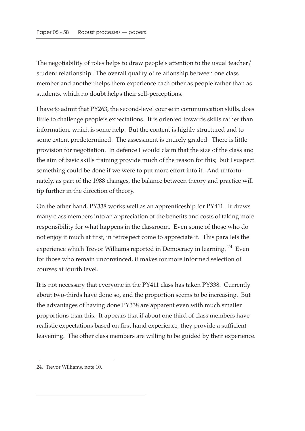The negotiability of roles helps to draw people's attention to the usual teacher/ student relationship. The overall quality of relationship between one class member and another helps them experience each other as people rather than as students, which no doubt helps their self-perceptions.

I have to admit that PY263, the second-level course in communication skills, does little to challenge people's expectations. It is oriented towards skills rather than information, which is some help. But the content is highly structured and to some extent predetermined. The assessment is entirely graded. There is little provision for negotiation. In defence I would claim that the size of the class and the aim of basic skills training provide much of the reason for this; but I suspect something could be done if we were to put more effort into it. And unfortunately, as part of the 1988 changes, the balance between theory and practice will tip further in the direction of theory.

On the other hand, PY338 works well as an apprenticeship for PY411. It draws many class members into an appreciation of the benefits and costs of taking more responsibility for what happens in the classroom. Even some of those who do not enjoy it much at first, in retrospect come to appreciate it. This parallels the experience which Trevor Williams reported in Democracy in learning. <sup>24</sup> Even for those who remain unconvinced, it makes for more informed selection of courses at fourth level.

It is not necessary that everyone in the PY411 class has taken PY338. Currently about two-thirds have done so, and the proportion seems to be increasing. But the advantages of having done PY338 are apparent even with much smaller proportions than this. It appears that if about one third of class members have realistic expectations based on first hand experience, they provide a sufficient leavening. The other class members are willing to be guided by their experience.

<sup>24.</sup> Trevor Williams, note 10.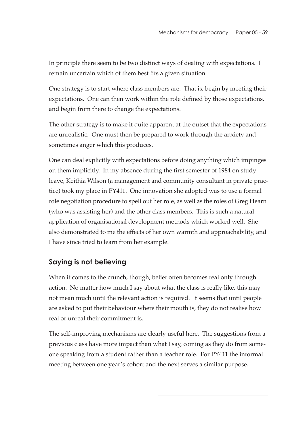In principle there seem to be two distinct ways of dealing with expectations. I remain uncertain which of them best fits a given situation.

One strategy is to start where class members are. That is, begin by meeting their expectations. One can then work within the role defined by those expectations, and begin from there to change the expectations.

The other strategy is to make it quite apparent at the outset that the expectations are unrealistic. One must then be prepared to work through the anxiety and sometimes anger which this produces.

One can deal explicitly with expectations before doing anything which impinges on them implicitly. In my absence during the first semester of 1984 on study leave, Keithia Wilson (a management and community consultant in private practice) took my place in PY411. One innovation she adopted was to use a formal role negotiation procedure to spell out her role, as well as the roles of Greg Hearn (who was assisting her) and the other class members. This is such a natural application of organisational development methods which worked well. She also demonstrated to me the effects of her own warmth and approachability, and I have since tried to learn from her example.

# **Saying is not believing**

When it comes to the crunch, though, belief often becomes real only through action. No matter how much I say about what the class is really like, this may not mean much until the relevant action is required. It seems that until people are asked to put their behaviour where their mouth is, they do not realise how real or unreal their commitment is.

The self-improving mechanisms are clearly useful here. The suggestions from a previous class have more impact than what I say, coming as they do from someone speaking from a student rather than a teacher role. For PY411 the informal meeting between one year's cohort and the next serves a similar purpose.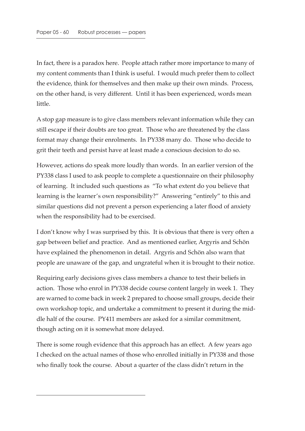In fact, there is a paradox here. People attach rather more importance to many of my content comments than I think is useful. I would much prefer them to collect the evidence, think for themselves and then make up their own minds. Process, on the other hand, is very different. Until it has been experienced, words mean little.

A stop gap measure is to give class members relevant information while they can still escape if their doubts are too great. Those who are threatened by the class format may change their enrolments. In PY338 many do. Those who decide to grit their teeth and persist have at least made a conscious decision to do so.

However, actions do speak more loudly than words. In an earlier version of the PY338 class I used to ask people to complete a questionnaire on their philosophy of learning. It included such questions as "To what extent do you believe that learning is the learner's own responsibility?" Answering "entirely" to this and similar questions did not prevent a person experiencing a later flood of anxiety when the responsibility had to be exercised.

I don't know why I was surprised by this. It is obvious that there is very often a gap between belief and practice. And as mentioned earlier, Argyris and Schön have explained the phenomenon in detail. Argyris and Schön also warn that people are unaware of the gap, and ungrateful when it is brought to their notice.

Requiring early decisions gives class members a chance to test their beliefs in action. Those who enrol in PY338 decide course content largely in week 1. They are warned to come back in week 2 prepared to choose small groups, decide their own workshop topic, and undertake a commitment to present it during the middle half of the course. PY411 members are asked for a similar commitment, though acting on it is somewhat more delayed.

There is some rough evidence that this approach has an effect. A few years ago I checked on the actual names of those who enrolled initially in PY338 and those who finally took the course. About a quarter of the class didn't return in the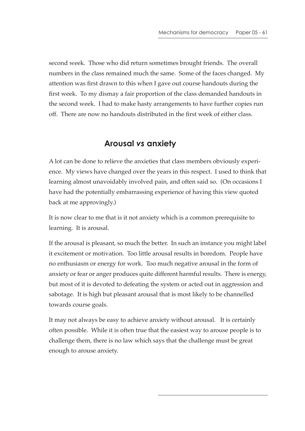second week. Those who did return sometimes brought friends. The overall numbers in the class remained much the same. Some of the faces changed. My attention was first drawn to this when I gave out course handouts during the first week. To my dismay a fair proportion of the class demanded handouts in the second week. I had to make hasty arrangements to have further copies run off. There are now no handouts distributed in the first week of either class.

# **Arousal** *vs* **anxiety**

A lot can be done to relieve the anxieties that class members obviously experience. My views have changed over the years in this respect. I used to think that learning almost unavoidably involved pain, and often said so. (On occasions I have had the potentially embarrassing experience of having this view quoted back at me approvingly.)

It is now clear to me that is it not anxiety which is a common prerequisite to learning. It is arousal.

If the arousal is pleasant, so much the better. In such an instance you might label it excitement or motivation. Too little arousal results in boredom. People have no enthusiasm or energy for work. Too much negative arousal in the form of anxiety or fear or anger produces quite different harmful results. There is energy, but most of it is devoted to defeating the system or acted out in aggression and sabotage. It is high but pleasant arousal that is most likely to be channelled towards course goals.

It may not always be easy to achieve anxiety without arousal. It is certainly often possible. While it is often true that the easiest way to arouse people is to challenge them, there is no law which says that the challenge must be great enough to arouse anxiety.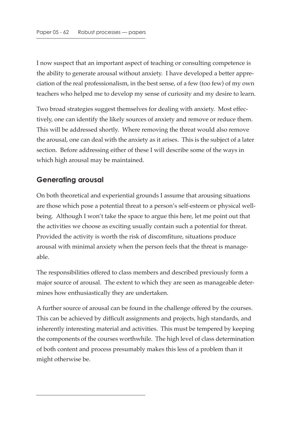I now suspect that an important aspect of teaching or consulting competence is the ability to generate arousal without anxiety. I have developed a better appreciation of the real professionalism, in the best sense, of a few (too few) of my own teachers who helped me to develop my sense of curiosity and my desire to learn.

Two broad strategies suggest themselves for dealing with anxiety. Most effectively, one can identify the likely sources of anxiety and remove or reduce them. This will be addressed shortly. Where removing the threat would also remove the arousal, one can deal with the anxiety as it arises. This is the subject of a later section. Before addressing either of these I will describe some of the ways in which high arousal may be maintained.

# **Generating arousal**

On both theoretical and experiential grounds I assume that arousing situations are those which pose a potential threat to a person's self-esteem or physical wellbeing. Although I won't take the space to argue this here, let me point out that the activities we choose as exciting usually contain such a potential for threat. Provided the activity is worth the risk of discomfiture, situations produce arousal with minimal anxiety when the person feels that the threat is manageable.

The responsibilities offered to class members and described previously form a major source of arousal. The extent to which they are seen as manageable determines how enthusiastically they are undertaken.

A further source of arousal can be found in the challenge offered by the courses. This can be achieved by difficult assignments and projects, high standards, and inherently interesting material and activities. This must be tempered by keeping the components of the courses worthwhile. The high level of class determination of both content and process presumably makes this less of a problem than it might otherwise be.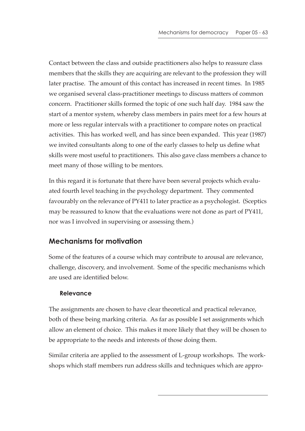Contact between the class and outside practitioners also helps to reassure class members that the skills they are acquiring are relevant to the profession they will later practise. The amount of this contact has increased in recent times. In 1985 we organised several class-practitioner meetings to discuss matters of common concern. Practitioner skills formed the topic of one such half day. 1984 saw the start of a mentor system, whereby class members in pairs meet for a few hours at more or less regular intervals with a practitioner to compare notes on practical activities. This has worked well, and has since been expanded. This year (1987) we invited consultants along to one of the early classes to help us define what skills were most useful to practitioners. This also gave class members a chance to meet many of those willing to be mentors.

In this regard it is fortunate that there have been several projects which evaluated fourth level teaching in the psychology department. They commented favourably on the relevance of PY411 to later practice as a psychologist. (Sceptics may be reassured to know that the evaluations were not done as part of PY411, nor was I involved in supervising or assessing them.)

# **Mechanisms for motivation**

Some of the features of a course which may contribute to arousal are relevance, challenge, discovery, and involvement. Some of the specific mechanisms which are used are identified below.

#### **Relevance**

The assignments are chosen to have clear theoretical and practical relevance, both of these being marking criteria. As far as possible I set assignments which allow an element of choice. This makes it more likely that they will be chosen to be appropriate to the needs and interests of those doing them.

Similar criteria are applied to the assessment of L-group workshops. The workshops which staff members run address skills and techniques which are appro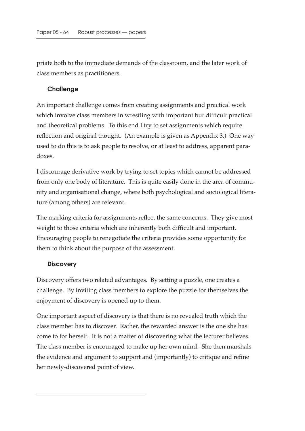priate both to the immediate demands of the classroom, and the later work of class members as practitioners.

#### **Challenge**

An important challenge comes from creating assignments and practical work which involve class members in wrestling with important but difficult practical and theoretical problems. To this end I try to set assignments which require reflection and original thought. (An example is given as Appendix 3.) One way used to do this is to ask people to resolve, or at least to address, apparent paradoxes.

I discourage derivative work by trying to set topics which cannot be addressed from only one body of literature. This is quite easily done in the area of community and organisational change, where both psychological and sociological literature (among others) are relevant.

The marking criteria for assignments reflect the same concerns. They give most weight to those criteria which are inherently both difficult and important. Encouraging people to renegotiate the criteria provides some opportunity for them to think about the purpose of the assessment.

#### **Discovery**

Discovery offers two related advantages. By setting a puzzle, one creates a challenge. By inviting class members to explore the puzzle for themselves the enjoyment of discovery is opened up to them.

One important aspect of discovery is that there is no revealed truth which the class member has to discover. Rather, the rewarded answer is the one she has come to for herself. It is not a matter of discovering what the lecturer believes. The class member is encouraged to make up her own mind. She then marshals the evidence and argument to support and (importantly) to critique and refine her newly-discovered point of view.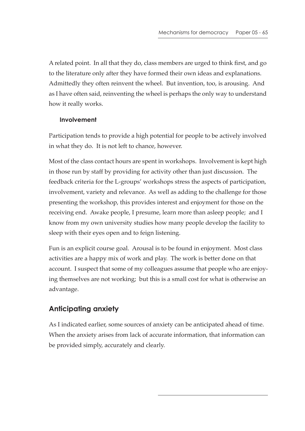A related point. In all that they do, class members are urged to think first, and go to the literature only after they have formed their own ideas and explanations. Admittedly they often reinvent the wheel. But invention, too, is arousing. And as I have often said, reinventing the wheel is perhaps the only way to understand how it really works.

#### **Involvement**

Participation tends to provide a high potential for people to be actively involved in what they do. It is not left to chance, however.

Most of the class contact hours are spent in workshops. Involvement is kept high in those run by staff by providing for activity other than just discussion. The feedback criteria for the L-groups' workshops stress the aspects of participation, involvement, variety and relevance. As well as adding to the challenge for those presenting the workshop, this provides interest and enjoyment for those on the receiving end. Awake people, I presume, learn more than asleep people; and I know from my own university studies how many people develop the facility to sleep with their eyes open and to feign listening.

Fun is an explicit course goal. Arousal is to be found in enjoyment. Most class activities are a happy mix of work and play. The work is better done on that account. I suspect that some of my colleagues assume that people who are enjoying themselves are not working; but this is a small cost for what is otherwise an advantage.

# **Anticipating anxiety**

As I indicated earlier, some sources of anxiety can be anticipated ahead of time. When the anxiety arises from lack of accurate information, that information can be provided simply, accurately and clearly.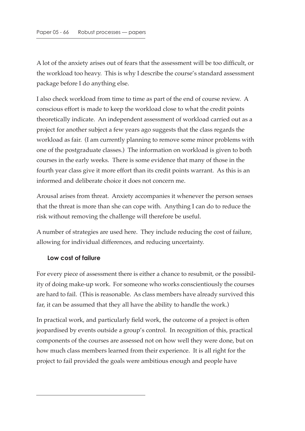A lot of the anxiety arises out of fears that the assessment will be too difficult, or the workload too heavy. This is why I describe the course's standard assessment package before I do anything else.

I also check workload from time to time as part of the end of course review. A conscious effort is made to keep the workload close to what the credit points theoretically indicate. An independent assessment of workload carried out as a project for another subject a few years ago suggests that the class regards the workload as fair. (I am currently planning to remove some minor problems with one of the postgraduate classes.) The information on workload is given to both courses in the early weeks. There is some evidence that many of those in the fourth year class give it more effort than its credit points warrant. As this is an informed and deliberate choice it does not concern me.

Arousal arises from threat. Anxiety accompanies it whenever the person senses that the threat is more than she can cope with. Anything I can do to reduce the risk without removing the challenge will therefore be useful.

A number of strategies are used here. They include reducing the cost of failure, allowing for individual differences, and reducing uncertainty.

#### **Low cost of failure**

For every piece of assessment there is either a chance to resubmit, or the possibility of doing make-up work. For someone who works conscientiously the courses are hard to fail. (This is reasonable. As class members have already survived this far, it can be assumed that they all have the ability to handle the work.)

In practical work, and particularly field work, the outcome of a project is often jeopardised by events outside a group's control. In recognition of this, practical components of the courses are assessed not on how well they were done, but on how much class members learned from their experience. It is all right for the project to fail provided the goals were ambitious enough and people have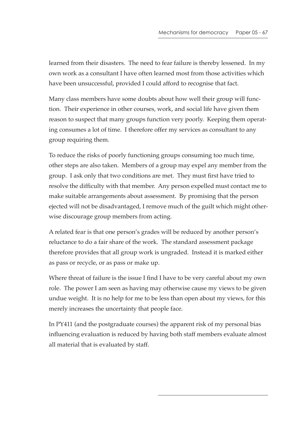learned from their disasters. The need to fear failure is thereby lessened. In my own work as a consultant I have often learned most from those activities which have been unsuccessful, provided I could afford to recognise that fact.

Many class members have some doubts about how well their group will function. Their experience in other courses, work, and social life have given them reason to suspect that many groups function very poorly. Keeping them operating consumes a lot of time. I therefore offer my services as consultant to any group requiring them.

To reduce the risks of poorly functioning groups consuming too much time, other steps are also taken. Members of a group may expel any member from the group. I ask only that two conditions are met. They must first have tried to resolve the difficulty with that member. Any person expelled must contact me to make suitable arrangements about assessment. By promising that the person ejected will not be disadvantaged, I remove much of the guilt which might otherwise discourage group members from acting.

A related fear is that one person's grades will be reduced by another person's reluctance to do a fair share of the work. The standard assessment package therefore provides that all group work is ungraded. Instead it is marked either as pass or recycle, or as pass or make up.

Where threat of failure is the issue I find I have to be very careful about my own role. The power I am seen as having may otherwise cause my views to be given undue weight. It is no help for me to be less than open about my views, for this merely increases the uncertainty that people face.

In PY411 (and the postgraduate courses) the apparent risk of my personal bias influencing evaluation is reduced by having both staff members evaluate almost all material that is evaluated by staff.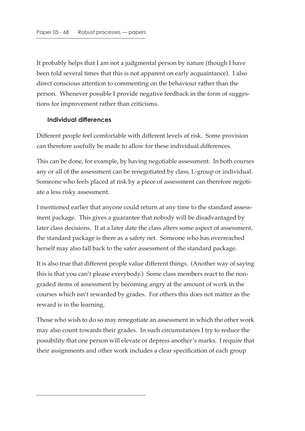It probably helps that I am not a judgmental person by nature (though I have been told several times that this is not apparent on early acquaintance). I also direct conscious attention to commenting on the behaviour rather than the person. Whenever possible I provide negative feedback in the form of suggestions for improvement rather than criticisms.

#### **Individual differences**

Different people feel comfortable with different levels of risk. Some provision can therefore usefully be made to allow for these individual differences.

This can be done, for example, by having negotiable assessment. In both courses any or all of the assessment can be renegotiated by class, L-group or individual. Someone who feels placed at risk by a piece of assessment can therefore negotiate a less risky assessment.

I mentioned earlier that anyone could return at any time to the standard assessment package. This gives a guarantee that nobody will be disadvantaged by later class decisions. If at a later date the class alters some aspect of assessment, the standard package is there as a safety net. Someone who has overreached herself may also fall back to the safer assessment of the standard package.

It is also true that different people value different things. (Another way of saying this is that you can't please everybody.) Some class members react to the nongraded items of assessment by becoming angry at the amount of work in the courses which isn't rewarded by grades. For others this does not matter as the reward is in the learning.

Those who wish to do so may renegotiate an assessment in which the other work may also count towards their grades. In such circumstances I try to reduce the possibility that one person will elevate or depress another's marks. I require that their assignments and other work includes a clear specification of each group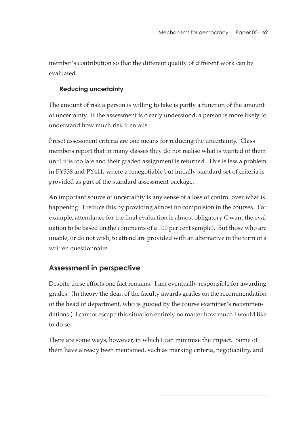member's contribution so that the different quality of different work can be evaluated.

#### **Reducing uncertainty**

The amount of risk a person is willing to take is partly a function of the amount of uncertainty. If the assessment is clearly understood, a person is more likely to understand how much risk it entails.

Preset assessment criteria are one means for reducing the uncertainty. Class members report that in many classes they do not realise what is wanted of them until it is too late and their graded assignment is returned. This is less a problem in PY338 and PY411, where a renegotiable but initially standard set of criteria is provided as part of the standard assessment package.

An important source of uncertainty is any sense of a loss of control over what is happening. I reduce this by providing almost no compulsion in the courses. For example, attendance for the final evaluation is almost obligatory (I want the evaluation to be based on the comments of a 100 per cent sample). But those who are unable, or do not wish, to attend are provided with an alternative in the form of a written questionnaire.

### **Assessment in perspective**

Despite these efforts one fact remains. I am eventually responsible for awarding grades. (In theory the dean of the faculty awards grades on the recommendation of the head of department, who is guided by the course examiner's recommendations.) I cannot escape this situation entirely no matter how much I would like to do so.

There are some ways, however, in which I can minimise the impact. Some of them have already been mentioned, such as marking criteria, negotiability, and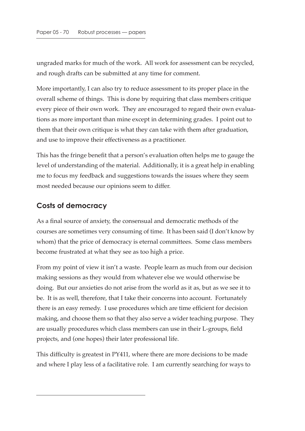ungraded marks for much of the work. All work for assessment can be recycled, and rough drafts can be submitted at any time for comment.

More importantly, I can also try to reduce assessment to its proper place in the overall scheme of things. This is done by requiring that class members critique every piece of their own work. They are encouraged to regard their own evaluations as more important than mine except in determining grades. I point out to them that their own critique is what they can take with them after graduation, and use to improve their effectiveness as a practitioner.

This has the fringe benefit that a person's evaluation often helps me to gauge the level of understanding of the material. Additionally, it is a great help in enabling me to focus my feedback and suggestions towards the issues where they seem most needed because our opinions seem to differ.

# **Costs of democracy**

As a final source of anxiety, the consensual and democratic methods of the courses are sometimes very consuming of time. It has been said (I don't know by whom) that the price of democracy is eternal committees. Some class members become frustrated at what they see as too high a price.

From my point of view it isn't a waste. People learn as much from our decision making sessions as they would from whatever else we would otherwise be doing. But our anxieties do not arise from the world as it as, but as we see it to be. It is as well, therefore, that I take their concerns into account. Fortunately there is an easy remedy. I use procedures which are time efficient for decision making, and choose them so that they also serve a wider teaching purpose. They are usually procedures which class members can use in their L-groups, field projects, and (one hopes) their later professional life.

This difficulty is greatest in PY411, where there are more decisions to be made and where I play less of a facilitative role. I am currently searching for ways to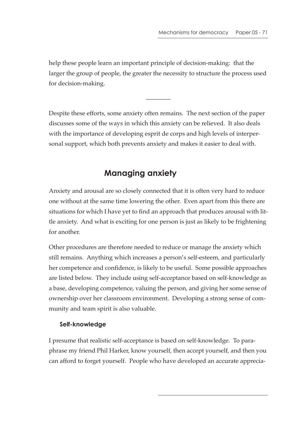help these people learn an important principle of decision-making: that the larger the group of people, the greater the necessity to structure the process used for decision-making.

————

Despite these efforts, some anxiety often remains. The next section of the paper discusses some of the ways in which this anxiety can be relieved. It also deals with the importance of developing esprit de corps and high levels of interpersonal support, which both prevents anxiety and makes it easier to deal with.

# **Managing anxiety**

Anxiety and arousal are so closely connected that it is often very hard to reduce one without at the same time lowering the other. Even apart from this there are situations for which I have yet to find an approach that produces arousal with little anxiety. And what is exciting for one person is just as likely to be frightening for another.

Other procedures are therefore needed to reduce or manage the anxiety which still remains. Anything which increases a person's self-esteem, and particularly her competence and confidence, is likely to be useful. Some possible approaches are listed below. They include using self-acceptance based on self-knowledge as a base, developing competence, valuing the person, and giving her some sense of ownership over her classroom environment. Developing a strong sense of community and team spirit is also valuable.

#### **Self-knowledge**

I presume that realistic self-acceptance is based on self-knowledge. To paraphrase my friend Phil Harker, know yourself, then accept yourself, and then you can afford to forget yourself. People who have developed an accurate apprecia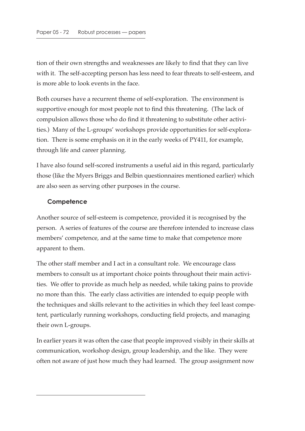tion of their own strengths and weaknesses are likely to find that they can live with it. The self-accepting person has less need to fear threats to self-esteem, and is more able to look events in the face.

Both courses have a recurrent theme of self-exploration. The environment is supportive enough for most people not to find this threatening. (The lack of compulsion allows those who do find it threatening to substitute other activities.) Many of the L-groups' workshops provide opportunities for self-exploration. There is some emphasis on it in the early weeks of PY411, for example, through life and career planning.

I have also found self-scored instruments a useful aid in this regard, particularly those (like the Myers Briggs and Belbin questionnaires mentioned earlier) which are also seen as serving other purposes in the course.

#### **Competence**

Another source of self-esteem is competence, provided it is recognised by the person. A series of features of the course are therefore intended to increase class members' competence, and at the same time to make that competence more apparent to them.

The other staff member and I act in a consultant role. We encourage class members to consult us at important choice points throughout their main activities. We offer to provide as much help as needed, while taking pains to provide no more than this. The early class activities are intended to equip people with the techniques and skills relevant to the activities in which they feel least competent, particularly running workshops, conducting field projects, and managing their own L-groups.

In earlier years it was often the case that people improved visibly in their skills at communication, workshop design, group leadership, and the like. They were often not aware of just how much they had learned. The group assignment now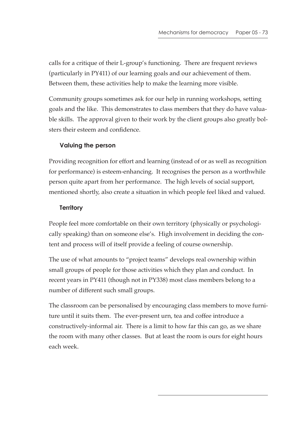calls for a critique of their L-group's functioning. There are frequent reviews (particularly in PY411) of our learning goals and our achievement of them. Between them, these activities help to make the learning more visible.

Community groups sometimes ask for our help in running workshops, setting goals and the like. This demonstrates to class members that they do have valuable skills. The approval given to their work by the client groups also greatly bolsters their esteem and confidence.

# **Valuing the person**

Providing recognition for effort and learning (instead of or as well as recognition for performance) is esteem-enhancing. It recognises the person as a worthwhile person quite apart from her performance. The high levels of social support, mentioned shortly, also create a situation in which people feel liked and valued.

# **Territory**

People feel more comfortable on their own territory (physically or psychologically speaking) than on someone else's. High involvement in deciding the content and process will of itself provide a feeling of course ownership.

The use of what amounts to "project teams" develops real ownership within small groups of people for those activities which they plan and conduct. In recent years in PY411 (though not in PY338) most class members belong to a number of different such small groups.

The classroom can be personalised by encouraging class members to move furniture until it suits them. The ever-present urn, tea and coffee introduce a constructively-informal air. There is a limit to how far this can go, as we share the room with many other classes. But at least the room is ours for eight hours each week.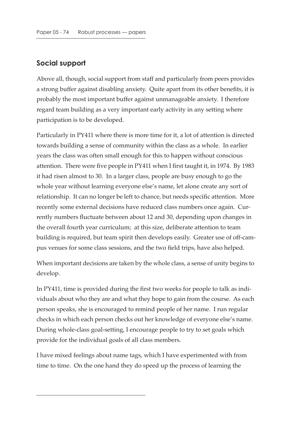# **Social support**

Above all, though, social support from staff and particularly from peers provides a strong buffer against disabling anxiety. Quite apart from its other benefits, it is probably the most important buffer against unmanageable anxiety. I therefore regard team building as a very important early activity in any setting where participation is to be developed.

Particularly in PY411 where there is more time for it, a lot of attention is directed towards building a sense of community within the class as a whole. In earlier years the class was often small enough for this to happen without conscious attention. There were five people in PY411 when I first taught it, in 1974. By 1983 it had risen almost to 30. In a larger class, people are busy enough to go the whole year without learning everyone else's name, let alone create any sort of relationship. It can no longer be left to chance, but needs specific attention. More recently some external decisions have reduced class numbers once again. Currently numbers fluctuate between about 12 and 30, depending upon changes in the overall fourth year curriculum; at this size, deliberate attention to team building is required, but team spirit then develops easily. Greater use of off-campus venues for some class sessions, and the two field trips, have also helped.

When important decisions are taken by the whole class, a sense of unity begins to develop.

In PY411, time is provided during the first two weeks for people to talk as individuals about who they are and what they hope to gain from the course. As each person speaks, she is encouraged to remind people of her name. I run regular checks in which each person checks out her knowledge of everyone else's name. During whole-class goal-setting, I encourage people to try to set goals which provide for the individual goals of all class members.

I have mixed feelings about name tags, which I have experimented with from time to time. On the one hand they do speed up the process of learning the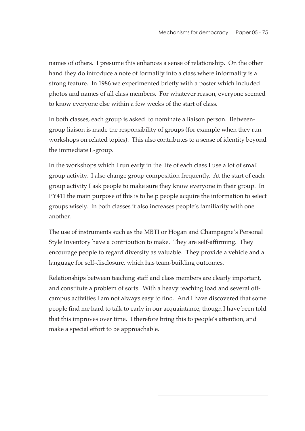names of others. I presume this enhances a sense of relationship. On the other hand they do introduce a note of formality into a class where informality is a strong feature. In 1986 we experimented briefly with a poster which included photos and names of all class members. For whatever reason, everyone seemed to know everyone else within a few weeks of the start of class.

In both classes, each group is asked to nominate a liaison person. Betweengroup liaison is made the responsibility of groups (for example when they run workshops on related topics). This also contributes to a sense of identity beyond the immediate L-group.

In the workshops which I run early in the life of each class I use a lot of small group activity. I also change group composition frequently. At the start of each group activity I ask people to make sure they know everyone in their group. In PY411 the main purpose of this is to help people acquire the information to select groups wisely. In both classes it also increases people's familiarity with one another.

The use of instruments such as the MBTI or Hogan and Champagne's Personal Style Inventory have a contribution to make. They are self-affirming. They encourage people to regard diversity as valuable. They provide a vehicle and a language for self-disclosure, which has team-building outcomes.

Relationships between teaching staff and class members are clearly important, and constitute a problem of sorts. With a heavy teaching load and several offcampus activities I am not always easy to find. And I have discovered that some people find me hard to talk to early in our acquaintance, though I have been told that this improves over time. I therefore bring this to people's attention, and make a special effort to be approachable.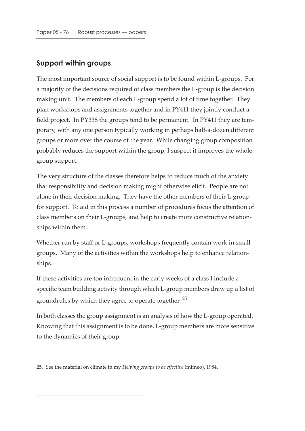# **Support within groups**

The most important source of social support is to be found within L-groups. For a majority of the decisions required of class members the L-group is the decision making unit. The members of each L-group spend a lot of time together. They plan workshops and assignments together and in PY411 they jointly conduct a field project. In PY338 the groups tend to be permanent. In PY411 they are temporary, with any one person typically working in perhaps half-a-dozen different groups or more over the course of the year. While changing group composition probably reduces the support within the group, I suspect it improves the wholegroup support.

The very structure of the classes therefore helps to reduce much of the anxiety that responsibility and decision making might otherwise elicit. People are not alone in their decision making. They have the other members of their L-group for support. To aid in this process a number of procedures focus the attention of class members on their L-groups, and help to create more constructive relationships within them.

Whether run by staff or L-groups, workshops frequently contain work in small groups. Many of the activities within the workshops help to enhance relationships.

If these activities are too infrequent in the early weeks of a class I include a specific team building activity through which L-group members draw up a list of groundrules by which they agree to operate together. <sup>25</sup>

In both classes the group assignment is an analysis of how the L-group operated. Knowing that this assignment is to be done, L-group members are more sensitive to the dynamics of their group.

<sup>25.</sup> See the material on climate in my *Helping groups to be effective* (mimeo), 1984.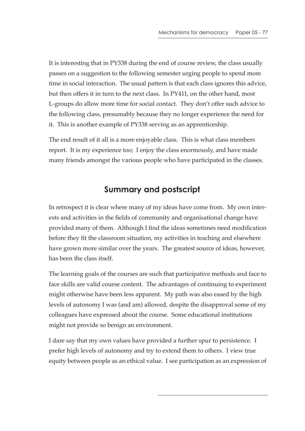It is interesting that in PY338 during the end of course review, the class usually passes on a suggestion to the following semester urging people to spend more time in social interaction. The usual pattern is that each class ignores this advice, but then offers it in turn to the next class. In PY411, on the other hand, most L-groups do allow more time for social contact. They don't offer such advice to the following class, presumably because they no longer experience the need for it. This is another example of PY338 serving as an apprenticeship.

The end result of it all is a more enjoyable class. This is what class members report. It is my experience too; I enjoy the class enormously, and have made many friends amongst the various people who have participated in the classes.

# **Summary and postscript**

In retrospect it is clear where many of my ideas have come from. My own interests and activities in the fields of community and organisational change have provided many of them. Although I find the ideas sometimes need modification before they fit the classroom situation, my activities in teaching and elsewhere have grown more similar over the years. The greatest source of ideas, however, has been the class itself.

The learning goals of the courses are such that participative methods and face to face skills are valid course content. The advantages of continuing to experiment might otherwise have been less apparent. My path was also eased by the high levels of autonomy I was (and am) allowed, despite the disapproval some of my colleagues have expressed about the course. Some educational institutions might not provide so benign an environment.

I dare say that my own values have provided a further spur to persistence. I prefer high levels of autonomy and try to extend them to others. I view true equity between people as an ethical value. I see participation as an expression of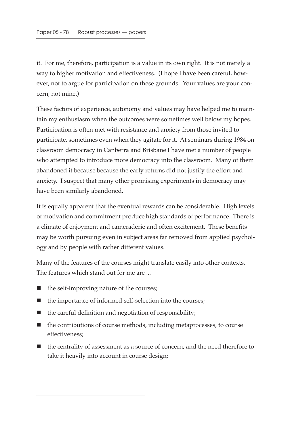it. For me, therefore, participation is a value in its own right. It is not merely a way to higher motivation and effectiveness. (I hope I have been careful, however, not to argue for participation on these grounds. Your values are your concern, not mine.)

These factors of experience, autonomy and values may have helped me to maintain my enthusiasm when the outcomes were sometimes well below my hopes. Participation is often met with resistance and anxiety from those invited to participate, sometimes even when they agitate for it. At seminars during 1984 on classroom democracy in Canberra and Brisbane I have met a number of people who attempted to introduce more democracy into the classroom. Many of them abandoned it because because the early returns did not justify the effort and anxiety. I suspect that many other promising experiments in democracy may have been similarly abandoned.

It is equally apparent that the eventual rewards can be considerable. High levels of motivation and commitment produce high standards of performance. There is a climate of enjoyment and cameraderie and often excitement. These benefits may be worth pursuing even in subject areas far removed from applied psychology and by people with rather different values.

Many of the features of the courses might translate easily into other contexts. The features which stand out for me are ...

- $\blacksquare$  the self-improving nature of the courses;
- the importance of informed self-selection into the courses;
- $\blacksquare$  the careful definition and negotiation of responsibility;
- $\blacksquare$  the contributions of course methods, including metaprocesses, to course effectiveness;
- the centrality of assessment as a source of concern, and the need therefore to take it heavily into account in course design;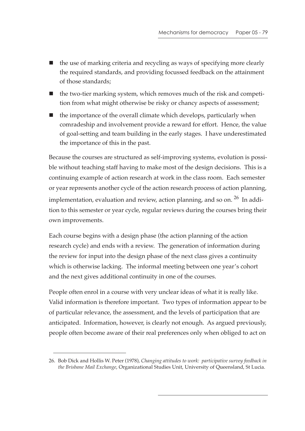- the use of marking criteria and recycling as ways of specifying more clearly the required standards, and providing focussed feedback on the attainment of those standards;
- $\blacksquare$  the two-tier marking system, which removes much of the risk and competition from what might otherwise be risky or chancy aspects of assessment;
- $\blacksquare$  the importance of the overall climate which develops, particularly when comradeship and involvement provide a reward for effort. Hence, the value of goal-setting and team building in the early stages. I have underestimated the importance of this in the past.

Because the courses are structured as self-improving systems, evolution is possible without teaching staff having to make most of the design decisions. This is a continuing example of action research at work in the class room. Each semester or year represents another cycle of the action research process of action planning, implementation, evaluation and review, action planning, and so on. <sup>26</sup> In addition to this semester or year cycle, regular reviews during the courses bring their own improvements.

Each course begins with a design phase (the action planning of the action research cycle) and ends with a review. The generation of information during the review for input into the design phase of the next class gives a continuity which is otherwise lacking. The informal meeting between one year's cohort and the next gives additional continuity in one of the courses.

People often enrol in a course with very unclear ideas of what it is really like. Valid information is therefore important. Two types of information appear to be of particular relevance, the assessment, and the levels of participation that are anticipated. Information, however, is clearly not enough. As argued previously, people often become aware of their real preferences only when obliged to act on

<sup>26.</sup> Bob Dick and Hollis W. Peter (1978), *Changing attitudes to work: participative survey feedback in the Brisbane Mail Exchange*, Organizational Studies Unit, University of Queensland, St Lucia.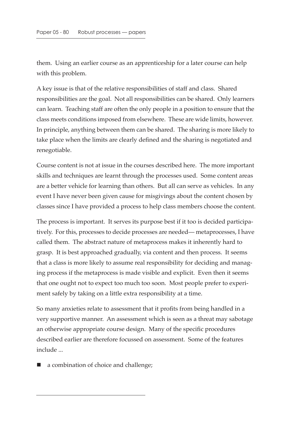them. Using an earlier course as an apprenticeship for a later course can help with this problem.

A key issue is that of the relative responsibilities of staff and class. Shared responsibilities are the goal. Not all responsibilities can be shared. Only learners can learn. Teaching staff are often the only people in a position to ensure that the class meets conditions imposed from elsewhere. These are wide limits, however. In principle, anything between them can be shared. The sharing is more likely to take place when the limits are clearly defined and the sharing is negotiated and renegotiable.

Course content is not at issue in the courses described here. The more important skills and techniques are learnt through the processes used. Some content areas are a better vehicle for learning than others. But all can serve as vehicles. In any event I have never been given cause for misgivings about the content chosen by classes since I have provided a process to help class members choose the content.

The process is important. It serves its purpose best if it too is decided participatively. For this, processes to decide processes are needed— metaprocesses, I have called them. The abstract nature of metaprocess makes it inherently hard to grasp. It is best approached gradually, via content and then process. It seems that a class is more likely to assume real responsibility for deciding and managing process if the metaprocess is made visible and explicit. Even then it seems that one ought not to expect too much too soon. Most people prefer to experiment safely by taking on a little extra responsibility at a time.

So many anxieties relate to assessment that it profits from being handled in a very supportive manner. An assessment which is seen as a threat may sabotage an otherwise appropriate course design. Many of the specific procedures described earlier are therefore focussed on assessment. Some of the features include ...

a combination of choice and challenge;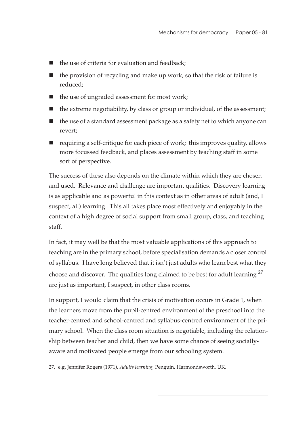- the use of criteria for evaluation and feedback;
- $\blacksquare$  the provision of recycling and make up work, so that the risk of failure is reduced;
- $\blacksquare$  the use of ungraded assessment for most work;
- $\blacksquare$  the extreme negotiability, by class or group or individual, of the assessment;
- $\blacksquare$  the use of a standard assessment package as a safety net to which anyone can revert;
- $\blacksquare$  requiring a self-critique for each piece of work; this improves quality, allows more focussed feedback, and places assessment by teaching staff in some sort of perspective.

The success of these also depends on the climate within which they are chosen and used. Relevance and challenge are important qualities. Discovery learning is as applicable and as powerful in this context as in other areas of adult (and, I suspect, all) learning. This all takes place most effectively and enjoyably in the context of a high degree of social support from small group, class, and teaching staff.

In fact, it may well be that the most valuable applications of this approach to teaching are in the primary school, before specialisation demands a closer control of syllabus. I have long believed that it isn't just adults who learn best what they choose and discover. The qualities long claimed to be best for adult learning <sup>27</sup> are just as important, I suspect, in other class rooms.

In support, I would claim that the crisis of motivation occurs in Grade 1, when the learners move from the pupil-centred environment of the preschool into the teacher-centred and school-centred and syllabus-centred environment of the primary school. When the class room situation is negotiable, including the relationship between teacher and child, then we have some chance of seeing sociallyaware and motivated people emerge from our schooling system.

<sup>27.</sup> e.g. Jennifer Rogers (1971), *Adults learning*, Penguin, Harmondsworth, UK.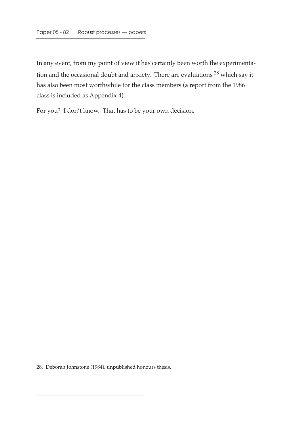In any event, from my point of view it has certainly been worth the experimentation and the occasional doubt and anxiety. There are evaluations 28 which say it has also been most worthwhile for the class members (a report from the 1986 class is included as Appendix 4).

For you? I don't know. That has to be your own decision.

<sup>28.</sup> Deborah Johnstone (1984), unpublished honours thesis.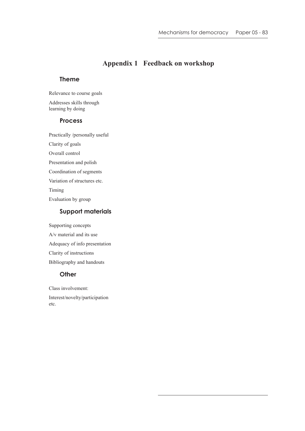# **Appendix 1 Feedback on workshop**

### **Theme**

Relevance to course goals

Addresses skills through learning by doing

### **Process**

Practically /personally useful Clarity of goals

Overall control

Presentation and polish

Coordination of segments

Variation of structures etc.

Timing

Evaluation by group

### **Support materials**

Supporting concepts A/v material and its use Adequacy of info presentation Clarity of instructions Bibliography and handouts

### **Other**

Class involvement: Interest/novelty/participation etc.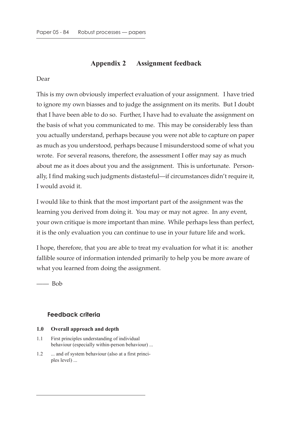# **Appendix 2 Assignment feedback**

### Dear

This is my own obviously imperfect evaluation of your assignment. I have tried to ignore my own biasses and to judge the assignment on its merits. But I doubt that I have been able to do so. Further, I have had to evaluate the assignment on the basis of what you communicated to me. This may be considerably less than you actually understand, perhaps because you were not able to capture on paper as much as you understood, perhaps because I misunderstood some of what you wrote. For several reasons, therefore, the assessment I offer may say as much about me as it does about you and the assignment. This is unfortunate. Personally, I find making such judgments distasteful—if circumstances didn't require it, I would avoid it.

I would like to think that the most important part of the assignment was the learning you derived from doing it. You may or may not agree. In any event, your own critique is more important than mine. While perhaps less than perfect, it is the only evaluation you can continue to use in your future life and work.

I hope, therefore, that you are able to treat my evaluation for what it is: another fallible source of information intended primarily to help you be more aware of what you learned from doing the assignment.

 $\equiv$  Bob

## **Feedback criteria**

### **1.0 Overall approach and depth**

- 1.1 First principles understanding of individual behaviour (especially within-person behaviour) ...
- 1.2 ... and of system behaviour (also at a first principles level) ...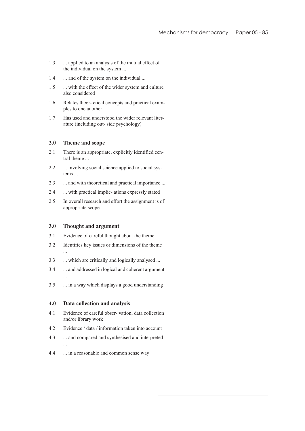- 1.3 ... applied to an analysis of the mutual effect of the individual on the system ...
- 1.4 ... and of the system on the individual ...
- 1.5 ... with the effect of the wider system and culture also considered
- 1.6 Relates theor- etical concepts and practical examples to one another
- 1.7 Has used and understood the wider relevant literature (including out- side psychology)

### **2.0 Theme and scope**

- 2.1 There is an appropriate, explicitly identified central theme ...
- 2.2 ... involving social science applied to social systems ...
- 2.3 ... and with theoretical and practical importance ...
- 2.4 ... with practical implic- ations expressly stated
- 2.5 In overall research and effort the assignment is of appropriate scope

#### **3.0 Thought and argument**

- 3.1 Evidence of careful thought about the theme
- 3.2 Identifies key issues or dimensions of the theme ...
- 3.3 ... which are critically and logically analysed ...
- 3.4 ... and addressed in logical and coherent argument ...
- 3.5 ... in a way which displays a good understanding

#### **4.0 Data collection and analysis**

...

- 4.1 Evidence of careful obser- vation, data collection and/or library work
- 4.2 Evidence / data / information taken into account
- 4.3 ... and compared and synthesised and interpreted
- 4.4 ... in a reasonable and common sense way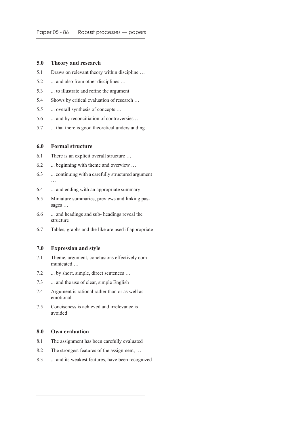#### **5.0 Theory and research**

- 5.1 Draws on relevant theory within discipline …
- 5.2 ... and also from other disciplines ...
- 5.3 ... to illustrate and refine the argument
- 5.4 Shows by critical evaluation of research …
- 5.5 ... overall synthesis of concepts ...
- 5.6 ... and by reconciliation of controversies ...
- 5.7 ... that there is good theoretical understanding

#### **6.0 Formal structure**

- 6.1 There is an explicit overall structure …
- 6.2 ... beginning with theme and overview …
- 6.3 ... continuing with a carefully structured argument …
- 6.4 ... and ending with an appropriate summary
- 6.5 Miniature summaries, previews and linking passages …
- 6.6 ... and headings and sub- headings reveal the structure
- 6.7 Tables, graphs and the like are used if appropriate

#### **7.0 Expression and style**

- 7.1 Theme, argument, conclusions effectively communicated …
- 7.2 ... by short, simple, direct sentences ...
- 7.3 ... and the use of clear, simple English
- 7.4 Argument is rational rather than or as well as emotional
- 7.5 Conciseness is achieved and irrelevance is avoided

#### **8.0 Own evaluation**

- 8.1 The assignment has been carefully evaluated
- 8.2 The strongest features of the assignment, …
- 8.3 ... and its weakest features, have been recognized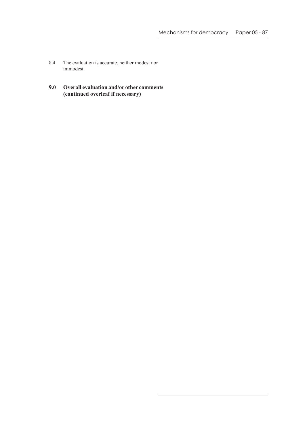- 8.4 The evaluation is accurate, neither modest nor immodest
- **9.0 Overall evaluation and/or other comments (continued overleaf if necessary)**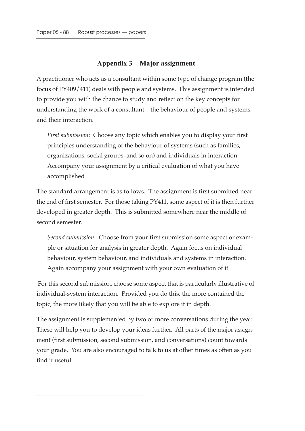# **Appendix 3 Major assignment**

A practitioner who acts as a consultant within some type of change program (the focus of PY409/411) deals with people and systems. This assignment is intended to provide you with the chance to study and reflect on the key concepts for understanding the work of a consultant—the behaviour of people and systems, and their interaction.

*First submission*: Choose any topic which enables you to display your first principles understanding of the behaviour of systems (such as families, organizations, social groups, and so on) and individuals in interaction. Accompany your assignment by a critical evaluation of what you have accomplished

The standard arrangement is as follows. The assignment is first submitted near the end of first semester. For those taking PY411, some aspect of it is then further developed in greater depth. This is submitted somewhere near the middle of second semester.

*Second submission*: Choose from your first submission some aspect or example or situation for analysis in greater depth. Again focus on individual behaviour, system behaviour, and individuals and systems in interaction. Again accompany your assignment with your own evaluation of it

 For this second submission, choose some aspect that is particularly illustrative of individual-system interaction. Provided you do this, the more contained the topic, the more likely that you will be able to explore it in depth.

The assignment is supplemented by two or more conversations during the year. These will help you to develop your ideas further. All parts of the major assignment (first submission, second submission, and conversations) count towards your grade. You are also encouraged to talk to us at other times as often as you find it useful.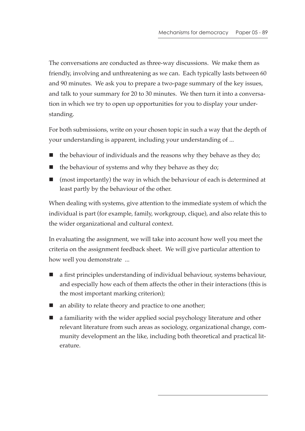The conversations are conducted as three-way discussions. We make them as friendly, involving and unthreatening as we can. Each typically lasts between 60 and 90 minutes. We ask you to prepare a two-page summary of the key issues, and talk to your summary for 20 to 30 minutes. We then turn it into a conversation in which we try to open up opportunities for you to display your understanding.

For both submissions, write on your chosen topic in such a way that the depth of your understanding is apparent, including your understanding of ...

- $\blacksquare$  the behaviour of individuals and the reasons why they behave as they do;
- $\blacksquare$  the behaviour of systems and why they behave as they do;
- (most importantly) the way in which the behaviour of each is determined at least partly by the behaviour of the other.

When dealing with systems, give attention to the immediate system of which the individual is part (for example, family, workgroup, clique), and also relate this to the wider organizational and cultural context.

In evaluating the assignment, we will take into account how well you meet the criteria on the assignment feedback sheet. We will give particular attention to how well you demonstrate ...

- a first principles understanding of individual behaviour, systems behaviour, and especially how each of them affects the other in their interactions (this is the most important marking criterion);
- an ability to relate theory and practice to one another;
- **E** a familiarity with the wider applied social psychology literature and other relevant literature from such areas as sociology, organizational change, community development an the like, including both theoretical and practical literature.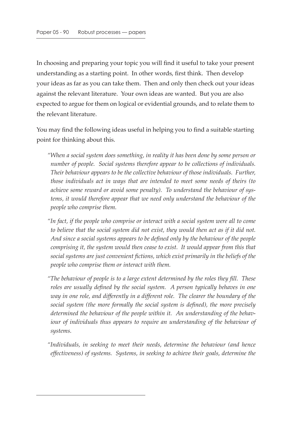In choosing and preparing your topic you will find it useful to take your present understanding as a starting point. In other words, first think. Then develop your ideas as far as you can take them. Then and only then check out your ideas against the relevant literature. Your own ideas are wanted. But you are also expected to argue for them on logical or evidential grounds, and to relate them to the relevant literature.

You may find the following ideas useful in helping you to find a suitable starting point for thinking about this.

*"When a social system does something, in reality it has been done by some person or number of people. Social systems therefore appear to be collections of individuals. Their behaviour appears to be the collective behaviour of those individuals. Further, those individuals act in ways that are intended to meet some needs of theirs (to achieve some reward or avoid some penalty). To understand the behaviour of systems, it would therefore appear that we need only understand the behaviour of the people who comprise them.*

- *"In fact, if the people who comprise or interact with a social system were all to come to believe that the social system did not exist, they would then act as if it did not. And since a social systems appears to be defined only by the behaviour of the people comprising it, the system would then cease to exist. It would appear from this that social systems are just convenient fictions, which exist primarily in the beliefs of the people who comprise them or interact with them.*
- *"The behaviour of people is to a large extent determined by the roles they fill. These roles are usually defined by the social system. A person typically behaves in one way in one role, and differently in a different role. The clearer the boundary of the social system (the more formally the social system is defined), the more precisely determined the behaviour of the people within it. An understanding of the behaviour of individuals thus appears to require an understanding of the behaviour of systems.*
- *"Individuals, in seeking to meet their needs, determine the behaviour (and hence effectiveness) of systems. Systems, in seeking to achieve their goals, determine the*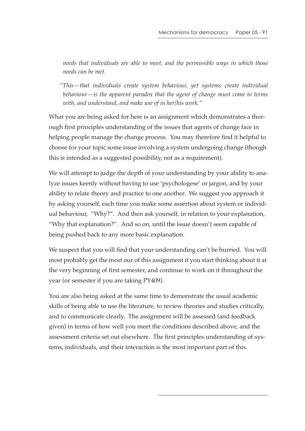*needs that individuals are able to meet, and the permissible ways in which those needs can be met.*

*"This—that individuals create system behaviour, yet systems create individual behaviour—is the apparent paradox that the agent of change must come to terms with, and understand, and make use of in her/his work."*

What you are being asked for here is an assignment which demonstrates a thorough first principles understanding of the issues that agents of change face in helping people manage the change process. You may therefore find it helpful to choose for your topic some issue involving a system undergoing change (though this is intended as a suggested possibility, not as a requirement).

We will attempt to judge the depth of your understanding by your ability to analyze issues keenly without having to use 'psychologese' or jargon, and by your ability to relate theory and practice to one another. We suggest you approach it by asking yourself, each time you make some assertion about system or individual behaviour, "Why?". And then ask yourself, in relation to your explanation, "Why that explanation?". And so on, until the issue doesn't seem capable of being pushed back to any more basic explanation.

We suspect that you will find that your understanding can't be hurried. You will most probably get the most our of this assignment if you start thinking about it at the very beginning of first semester, and continue to work on it throughout the year (or semester if you are taking PY409).

You are also being asked at the same time to demonstrate the usual academic skills of being able to use the literature, to review theories and studies critically, and to communicate clearly. The assignment will be assessed (and feedback given) in terms of how well you meet the conditions described above, and the assessment criteria set out elsewhere. The first principles understanding of systems, individuals, and their interaction is the most important part of this.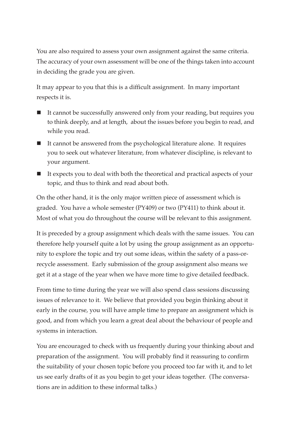You are also required to assess your own assignment against the same criteria. The accuracy of your own assessment will be one of the things taken into account in deciding the grade you are given.

It may appear to you that this is a difficult assignment. In many important respects it is.

- It cannot be successfully answered only from your reading, but requires you to think deeply, and at length, about the issues before you begin to read, and while you read.
- $\blacksquare$  It cannot be answered from the psychological literature alone. It requires you to seek out whatever literature, from whatever discipline, is relevant to your argument.
- It expects you to deal with both the theoretical and practical aspects of your topic, and thus to think and read about both.

On the other hand, it is the only major written piece of assessment which is graded. You have a whole semester (PY409) or two (PY411) to think about it. Most of what you do throughout the course will be relevant to this assignment.

It is preceded by a group assignment which deals with the same issues. You can therefore help yourself quite a lot by using the group assignment as an opportunity to explore the topic and try out some ideas, within the safety of a pass-orrecycle assessment. Early submission of the group assignment also means we get it at a stage of the year when we have more time to give detailed feedback.

From time to time during the year we will also spend class sessions discussing issues of relevance to it. We believe that provided you begin thinking about it early in the course, you will have ample time to prepare an assignment which is good, and from which you learn a great deal about the behaviour of people and systems in interaction.

You are encouraged to check with us frequently during your thinking about and preparation of the assignment. You will probably find it reassuring to confirm the suitability of your chosen topic before you proceed too far with it, and to let us see early drafts of it as you begin to get your ideas together. (The conversations are in addition to these informal talks.)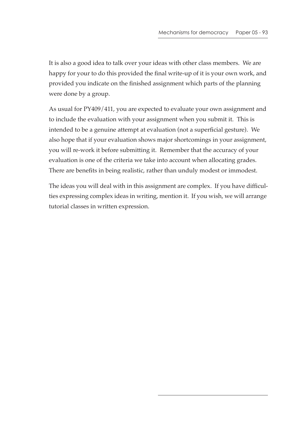It is also a good idea to talk over your ideas with other class members. We are happy for your to do this provided the final write-up of it is your own work, and provided you indicate on the finished assignment which parts of the planning were done by a group.

As usual for PY409/411, you are expected to evaluate your own assignment and to include the evaluation with your assignment when you submit it. This is intended to be a genuine attempt at evaluation (not a superficial gesture). We also hope that if your evaluation shows major shortcomings in your assignment, you will re-work it before submitting it. Remember that the accuracy of your evaluation is one of the criteria we take into account when allocating grades. There are benefits in being realistic, rather than unduly modest or immodest.

The ideas you will deal with in this assignment are complex. If you have difficulties expressing complex ideas in writing, mention it. If you wish, we will arrange tutorial classes in written expression.